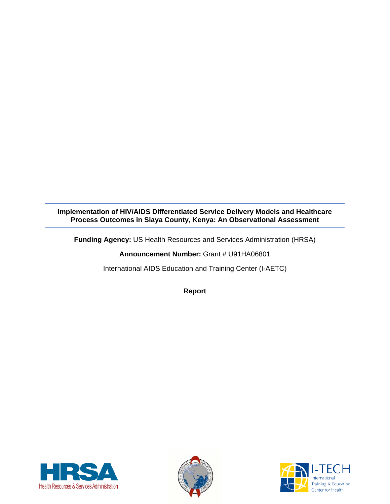**Implementation of HIV/AIDS Differentiated Service Delivery Models and Healthcare Process Outcomes in Siaya County, Kenya: An Observational Assessment**

**Funding Agency:** US Health Resources and Services Administration (HRSA)

**Announcement Number:** Grant # U91HA06801

International AIDS Education and Training Center (I-AETC)

**Report**





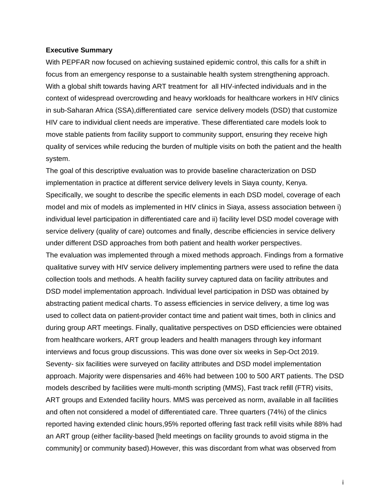#### <span id="page-1-0"></span>**Executive Summary**

With PEPFAR now focused on achieving sustained epidemic control, this calls for a shift in focus from an emergency response to a sustainable health system strengthening approach. With a global shift towards having ART treatment for all HIV-infected individuals and in the context of widespread overcrowding and heavy workloads for healthcare workers in HIV clinics in sub-Saharan Africa (SSA),differentiated care service delivery models (DSD) that customize HIV care to individual client needs are imperative. These differentiated care models look to move stable patients from facility support to community support, ensuring they receive high quality of services while reducing the burden of multiple visits on both the patient and the health system.

The goal of this descriptive evaluation was to provide baseline characterization on DSD implementation in practice at different service delivery levels in Siaya county, Kenya. Specifically, we sought to describe the specific elements in each DSD model, coverage of each model and mix of models as implemented in HIV clinics in Siaya, assess association between i) individual level participation in differentiated care and ii) facility level DSD model coverage with service delivery (quality of care) outcomes and finally, describe efficiencies in service delivery under different DSD approaches from both patient and health worker perspectives. The evaluation was implemented through a mixed methods approach. Findings from a formative qualitative survey with HIV service delivery implementing partners were used to refine the data collection tools and methods. A health facility survey captured data on facility attributes and DSD model implementation approach. Individual level participation in DSD was obtained by abstracting patient medical charts. To assess efficiencies in service delivery, a time log was used to collect data on patient-provider contact time and patient wait times, both in clinics and during group ART meetings. Finally, qualitative perspectives on DSD efficiencies were obtained from healthcare workers, ART group leaders and health managers through key informant interviews and focus group discussions. This was done over six weeks in Sep-Oct 2019. Seventy- six facilities were surveyed on facility attributes and DSD model implementation approach. Majority were dispensaries and 46% had between 100 to 500 ART patients. The DSD models described by facilities were multi-month scripting (MMS), Fast track refill (FTR) visits, ART groups and Extended facility hours. MMS was perceived as norm, available in all facilities and often not considered a model of differentiated care. Three quarters (74%) of the clinics reported having extended clinic hours,95% reported offering fast track refill visits while 88% had an ART group (either facility-based [held meetings on facility grounds to avoid stigma in the community] or community based).However, this was discordant from what was observed from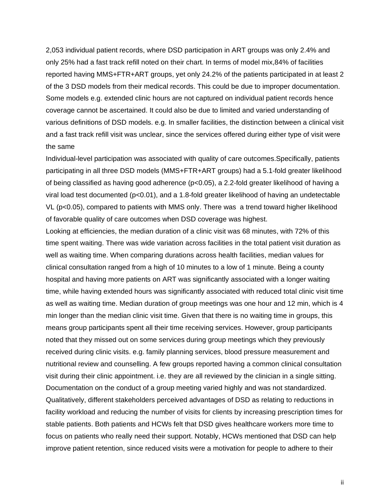2,053 individual patient records, where DSD participation in ART groups was only 2.4% and only 25% had a fast track refill noted on their chart. In terms of model mix,84% of facilities reported having MMS+FTR+ART groups, yet only 24.2% of the patients participated in at least 2 of the 3 DSD models from their medical records. This could be due to improper documentation. Some models e.g. extended clinic hours are not captured on individual patient records hence coverage cannot be ascertained. It could also be due to limited and varied understanding of various definitions of DSD models. e.g. In smaller facilities, the distinction between a clinical visit and a fast track refill visit was unclear, since the services offered during either type of visit were the same

Individual-level participation was associated with quality of care outcomes.Specifically, patients participating in all three DSD models (MMS+FTR+ART groups) had a 5.1-fold greater likelihood of being classified as having good adherence (p<0.05), a 2.2-fold greater likelihood of having a viral load test documented (p<0.01), and a 1.8-fold greater likelihood of having an undetectable VL (p<0.05), compared to patients with MMS only. There was a trend toward higher likelihood of favorable quality of care outcomes when DSD coverage was highest.

Looking at efficiencies, the median duration of a clinic visit was 68 minutes, with 72% of this time spent waiting. There was wide variation across facilities in the total patient visit duration as well as waiting time. When comparing durations across health facilities, median values for clinical consultation ranged from a high of 10 minutes to a low of 1 minute. Being a county hospital and having more patients on ART was significantly associated with a longer waiting time, while having extended hours was significantly associated with reduced total clinic visit time as well as waiting time. Median duration of group meetings was one hour and 12 min, which is 4 min longer than the median clinic visit time. Given that there is no waiting time in groups, this means group participants spent all their time receiving services. However, group participants noted that they missed out on some services during group meetings which they previously received during clinic visits. e.g. family planning services, blood pressure measurement and nutritional review and counselling. A few groups reported having a common clinical consultation visit during their clinic appointment. i.e. they are all reviewed by the clinician in a single sitting. Documentation on the conduct of a group meeting varied highly and was not standardized. Qualitatively, different stakeholders perceived advantages of DSD as relating to reductions in facility workload and reducing the number of visits for clients by increasing prescription times for stable patients. Both patients and HCWs felt that DSD gives healthcare workers more time to focus on patients who really need their support. Notably, HCWs mentioned that DSD can help improve patient retention, since reduced visits were a motivation for people to adhere to their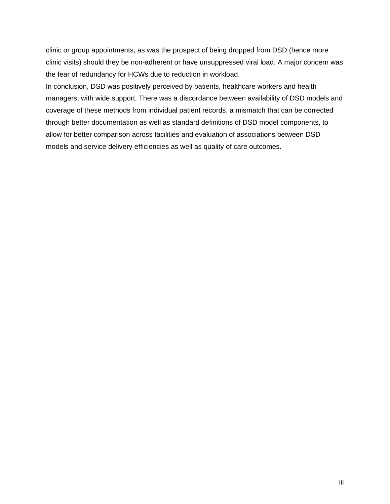clinic or group appointments, as was the prospect of being dropped from DSD (hence more clinic visits) should they be non-adherent or have unsuppressed viral load. A major concern was the fear of redundancy for HCWs due to reduction in workload.

In conclusion, DSD was positively perceived by patients, healthcare workers and health managers, with wide support. There was a discordance between availability of DSD models and coverage of these methods from individual patient records, a mismatch that can be corrected through better documentation as well as standard definitions of DSD model components, to allow for better comparison across facilities and evaluation of associations between DSD models and service delivery efficiencies as well as quality of care outcomes.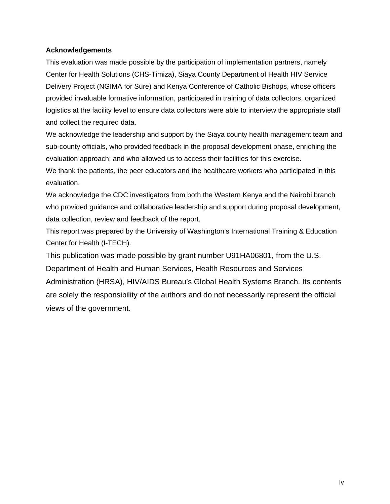### <span id="page-4-0"></span>**Acknowledgements**

This evaluation was made possible by the participation of implementation partners, namely Center for Health Solutions (CHS-Timiza), Siaya County Department of Health HIV Service Delivery Project (NGIMA for Sure) and Kenya Conference of Catholic Bishops, whose officers provided invaluable formative information, participated in training of data collectors, organized logistics at the facility level to ensure data collectors were able to interview the appropriate staff and collect the required data.

We acknowledge the leadership and support by the Siaya county health management team and sub-county officials, who provided feedback in the proposal development phase, enriching the evaluation approach; and who allowed us to access their facilities for this exercise.

We thank the patients, the peer educators and the healthcare workers who participated in this evaluation.

We acknowledge the CDC investigators from both the Western Kenya and the Nairobi branch who provided guidance and collaborative leadership and support during proposal development, data collection, review and feedback of the report.

This report was prepared by the University of Washington's International Training & Education Center for Health (I-TECH).

This publication was made possible by grant number U91HA06801, from the U.S.

Department of Health and Human Services, Health Resources and Services Administration (HRSA), HIV/AIDS Bureau's Global Health Systems Branch. Its contents are solely the responsibility of the authors and do not necessarily represent the official views of the government.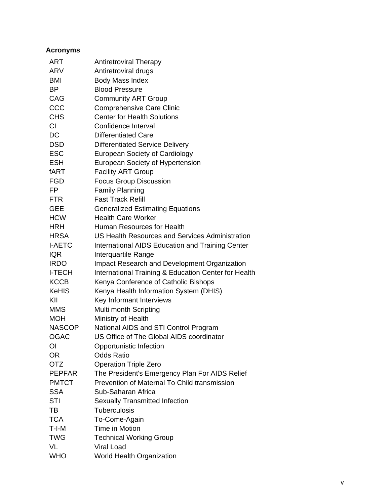<span id="page-5-0"></span>

| <b>Acronyms</b> |                                                      |
|-----------------|------------------------------------------------------|
| ART             | <b>Antiretroviral Therapy</b>                        |
| ARV             | Antiretroviral drugs                                 |
| <b>BMI</b>      | <b>Body Mass Index</b>                               |
| <b>BP</b>       | <b>Blood Pressure</b>                                |
| CAG             | <b>Community ART Group</b>                           |
| CCC             | <b>Comprehensive Care Clinic</b>                     |
| <b>CHS</b>      | <b>Center for Health Solutions</b>                   |
| <b>CI</b>       | Confidence Interval                                  |
| <b>DC</b>       | <b>Differentiated Care</b>                           |
| <b>DSD</b>      | <b>Differentiated Service Delivery</b>               |
| <b>ESC</b>      | <b>European Society of Cardiology</b>                |
| <b>ESH</b>      | European Society of Hypertension                     |
| fART            | <b>Facility ART Group</b>                            |
| <b>FGD</b>      | <b>Focus Group Discussion</b>                        |
| FP.             | <b>Family Planning</b>                               |
| <b>FTR</b>      | <b>Fast Track Refill</b>                             |
| <b>GEE</b>      | <b>Generalized Estimating Equations</b>              |
| <b>HCW</b>      | <b>Health Care Worker</b>                            |
| HRH             | Human Resources for Health                           |
| <b>HRSA</b>     | US Health Resources and Services Administration      |
| <b>I-AETC</b>   | International AIDS Education and Training Center     |
| <b>IQR</b>      | Interquartile Range                                  |
| <b>IRDO</b>     | Impact Research and Development Organization         |
| <b>I-TECH</b>   | International Training & Education Center for Health |
| <b>KCCB</b>     | Kenya Conference of Catholic Bishops                 |
| <b>KeHIS</b>    | Kenya Health Information System (DHIS)               |
| KII             | Key Informant Interviews                             |
| <b>MMS</b>      | Multi month Scripting                                |
| <b>MOH</b>      | Ministry of Health                                   |
| <b>NASCOP</b>   | National AIDS and STI Control Program                |
| <b>OGAC</b>     | US Office of The Global AIDS coordinator             |
| ΟI              | Opportunistic Infection                              |
| <b>OR</b>       | <b>Odds Ratio</b>                                    |
| <b>OTZ</b>      | <b>Operation Triple Zero</b>                         |
| <b>PEPFAR</b>   | The President's Emergency Plan For AIDS Relief       |
| <b>PMTCT</b>    | Prevention of Maternal To Child transmission         |
| <b>SSA</b>      | Sub-Saharan Africa                                   |
| STI             | <b>Sexually Transmitted Infection</b>                |
| TВ              | Tuberculosis                                         |
| <b>TCA</b>      | To-Come-Again                                        |
| T-I-M           | Time in Motion                                       |
| <b>TWG</b>      | <b>Technical Working Group</b>                       |
| VL              | <b>Viral Load</b>                                    |
| <b>WHO</b>      | World Health Organization                            |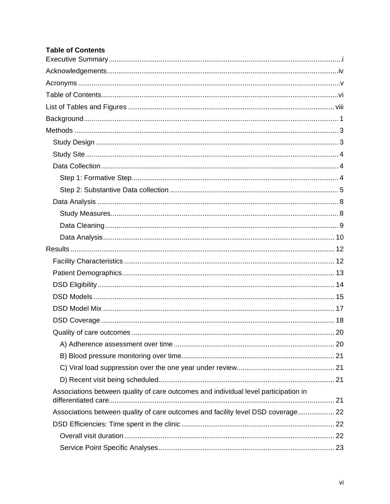# <span id="page-6-0"></span>**Table of Contents**

| Associations between quality of care outcomes and individual level participation in |  |
|-------------------------------------------------------------------------------------|--|
| Associations between quality of care outcomes and facility level DSD coverage 22    |  |
|                                                                                     |  |
|                                                                                     |  |
|                                                                                     |  |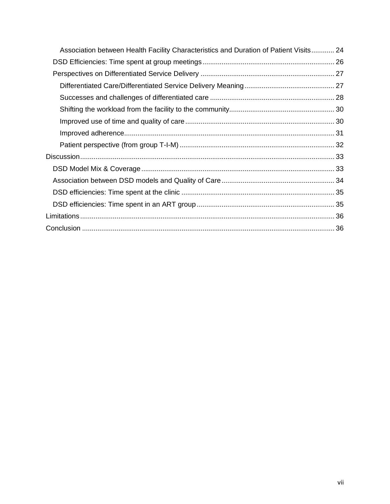| Association between Health Facility Characteristics and Duration of Patient Visits 24 |  |
|---------------------------------------------------------------------------------------|--|
|                                                                                       |  |
|                                                                                       |  |
|                                                                                       |  |
|                                                                                       |  |
|                                                                                       |  |
|                                                                                       |  |
|                                                                                       |  |
|                                                                                       |  |
|                                                                                       |  |
|                                                                                       |  |
|                                                                                       |  |
|                                                                                       |  |
|                                                                                       |  |
|                                                                                       |  |
|                                                                                       |  |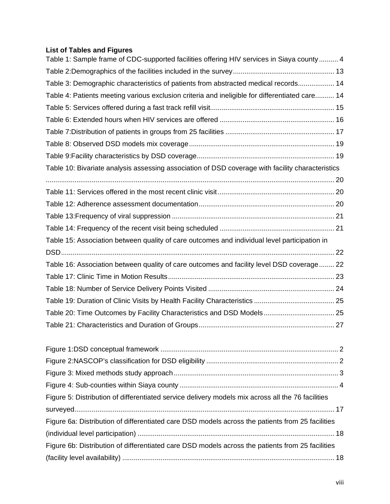# <span id="page-8-0"></span>**List of Tables and Figures**

| Table 1: Sample frame of CDC-supported facilities offering HIV services in Siaya county  4        |  |
|---------------------------------------------------------------------------------------------------|--|
|                                                                                                   |  |
| Table 3: Demographic characteristics of patients from abstracted medical records 14               |  |
| Table 4: Patients meeting various exclusion criteria and ineligible for differentiated care 14    |  |
|                                                                                                   |  |
|                                                                                                   |  |
|                                                                                                   |  |
|                                                                                                   |  |
|                                                                                                   |  |
| Table 10: Bivariate analysis assessing association of DSD coverage with facility characteristics  |  |
|                                                                                                   |  |
|                                                                                                   |  |
|                                                                                                   |  |
|                                                                                                   |  |
|                                                                                                   |  |
| Table 15: Association between quality of care outcomes and individual level participation in      |  |
|                                                                                                   |  |
| Table 16: Association between quality of care outcomes and facility level DSD coverage 22         |  |
|                                                                                                   |  |
|                                                                                                   |  |
|                                                                                                   |  |
| Table 20: Time Outcomes by Facility Characteristics and DSD Models 25                             |  |
|                                                                                                   |  |
|                                                                                                   |  |
|                                                                                                   |  |
|                                                                                                   |  |
|                                                                                                   |  |
|                                                                                                   |  |
| Figure 5: Distribution of differentiated service delivery models mix across all the 76 facilities |  |
|                                                                                                   |  |
| Figure 6a: Distribution of differentiated care DSD models across the patients from 25 facilities  |  |
|                                                                                                   |  |
| Figure 6b: Distribution of differentiated care DSD models across the patients from 25 facilities  |  |
|                                                                                                   |  |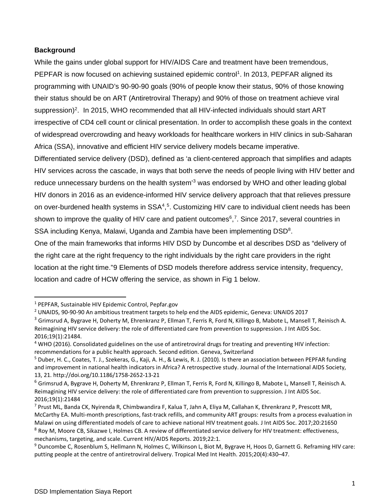### <span id="page-9-0"></span>**Background**

While the gains under global support for HIV/AIDS Care and treatment have been tremendous, PEPFAR is now focused on achieving sustained epidemic control<sup>[1](#page-9-1)</sup>. In 2013, PEPFAR aligned its programming with UNAID's 90-90-90 goals (90% of people know their status, 90% of those knowing their status should be on ART (Antiretroviral Therapy) and 90% of those on treatment achieve viral suppression)<sup>2</sup>. In 2015, WHO recommended that all HIV-infected individuals should start ART irrespective of CD4 cell count or clinical presentation. In order to accomplish these goals in the context of widespread overcrowding and heavy workloads for healthcare workers in HIV clinics in sub-Saharan Africa (SSA), innovative and efficient HIV service delivery models became imperative.

Differentiated service delivery (DSD), defined as 'a client-centered approach that simplifies and adapts HIV services across the cascade, in ways that both serve the needs of people living with HIV better and reduce unnecessary burdens on the health system<sup>3</sup> was endorsed by WHO and other leading global HIV donors in 2016 as an evidence-informed HIV service delivery approach that that relieves pressure on over-burdened health systems in SSA<sup>4</sup>,<sup>[5](#page-9-5)</sup>. Customizing HIV care to individual client needs has been shown to improve the quality of HIV care and patient outcomes<sup>6</sup>,<sup>7</sup>. Since 2017, several countries in SSA including Kenya, Malawi, Uganda and Zambia have been implementing DSD<sup>[8](#page-9-8)</sup>.

One of the main frameworks that informs HIV DSD by Duncombe et al describes DSD as "delivery of the right care at the right frequency to the right individuals by the right care providers in the right location at the right time."[9](#page-9-9) Elements of DSD models therefore address service intensity, frequency, location and cadre of HCW offering the service, as shown in Fig 1 below.

<span id="page-9-1"></span><sup>1</sup> PEPFAR, Sustainable HIV Epidemic Control, Pepfar.gov

<span id="page-9-2"></span><sup>2</sup> UNAIDS, 90-90-90 An ambitious treatment targets to help end the AIDS epidemic, Geneva: UNAIDS 2017

<span id="page-9-3"></span><sup>&</sup>lt;sup>3</sup> Grimsrud A, Bygrave H, Doherty M, Ehrenkranz P, Ellman T, Ferris R, Ford N, Killingo B, Mabote L, Mansell T, Reinisch A. Reimagining HIV service delivery: the role of differentiated care from prevention to suppression. J Int AIDS Soc. 2016;19(1):21484.

<span id="page-9-4"></span><sup>4</sup> WHO (2016). Consolidated guidelines on the use of antiretroviral drugs for treating and preventing HIV infection: recommendations for a public health approach. Second edition. Geneva, Switzerland

<span id="page-9-5"></span><sup>&</sup>lt;sup>5</sup> Duber, H. C., Coates, T. J., Szekeras, G., Kaji, A. H., & Lewis, R. J. (2010). Is there an association between PEPFAR funding and improvement in national health indicators in Africa? A retrospective study. Journal of the International AIDS Society, 13, 21. http://doi.org/10.1186/1758-2652-13-21

<span id="page-9-6"></span><sup>6</sup> Grimsrud A, Bygrave H, Doherty M, Ehrenkranz P, Ellman T, Ferris R, Ford N, Killingo B, Mabote L, Mansell T, Reinisch A. Reimagining HIV service delivery: the role of differentiated care from prevention to suppression. J Int AIDS Soc. 2016;19(1):21484

<span id="page-9-7"></span><sup>7</sup> Prust ML, Banda CK, Nyirenda R, Chimbwandira F, Kalua T, Jahn A, Eliya M, Callahan K, Ehrenkranz P, Prescott MR, McCarthy EA. Multi-month prescriptions, fast-track refills, and community ART groups: results from a process evaluation in Malawi on using differentiated models of care to achieve national HIV treatment goals. J Int AIDS Soc. 2017;20:21650 <sup>8</sup> Roy M, Moore CB, Sikazwe I, Holmes CB. A review of differentiated service delivery for HIV treatment: effectiveness, mechanisms, targeting, and scale. Current HIV/AIDS Reports. 2019;22:1.

<span id="page-9-9"></span><span id="page-9-8"></span><sup>9</sup> Duncombe C, Rosenblum S, Hellmann N, Holmes C, Wilkinson L, Biot M, Bygrave H, Hoos D, Garnett G. Reframing HIV care: putting people at the centre of antiretroviral delivery. Tropical Med Int Health. 2015;20(4):430–47.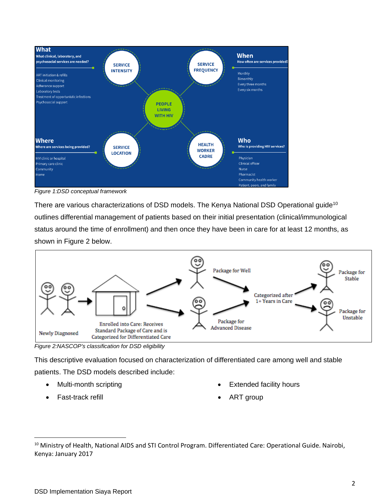

<span id="page-10-0"></span>*Figure 1:DSD conceptual framework*

There are various characterizations of DSD models. The Kenya National DSD Operational guide<sup>[10](#page-10-2)</sup> outlines differential management of patients based on their initial presentation (clinical/immunological status around the time of enrollment) and then once they have been in care for at least 12 months, as shown in Figure 2 below.



<span id="page-10-1"></span>*Figure 2:NASCOP's classification for DSD eligibility*

This descriptive evaluation focused on characterization of differentiated care among well and stable patients. The DSD models described include:

- Multi-month scripting
- Fast-track refill
- **Extended facility hours**
- ART group

<span id="page-10-2"></span><sup>10</sup> Ministry of Health, National AIDS and STI Control Program. Differentiated Care: Operational Guide. Nairobi, Kenya: January 2017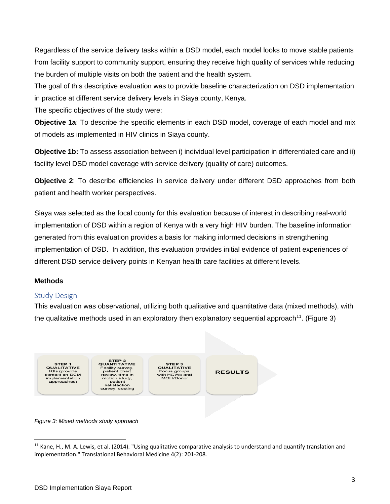Regardless of the service delivery tasks within a DSD model, each model looks to move stable patients from facility support to community support, ensuring they receive high quality of services while reducing the burden of multiple visits on both the patient and the health system.

The goal of this descriptive evaluation was to provide baseline characterization on DSD implementation in practice at different service delivery levels in Siaya county, Kenya.

The specific objectives of the study were:

**Objective 1a**: To describe the specific elements in each DSD model, coverage of each model and mix of models as implemented in HIV clinics in Siaya county.

**Objective 1b:** To assess association between i) individual level participation in differentiated care and ii) facility level DSD model coverage with service delivery (quality of care) outcomes.

**Objective 2**: To describe efficiencies in service delivery under different DSD approaches from both patient and health worker perspectives.

Siaya was selected as the focal county for this evaluation because of interest in describing real-world implementation of DSD within a region of Kenya with a very high HIV burden. The baseline information generated from this evaluation provides a basis for making informed decisions in strengthening implementation of DSD. In addition, this evaluation provides initial evidence of patient experiences of different DSD service delivery points in Kenyan health care facilities at different levels.

# <span id="page-11-0"></span>**Methods**

# <span id="page-11-1"></span>Study Design

This evaluation was observational, utilizing both qualitative and quantitative data (mixed methods), with the qualitative methods used in an exploratory then explanatory sequential approach<sup>11</sup>. (Figure 3)



<span id="page-11-2"></span>*Figure 3: Mixed methods study approach*

<span id="page-11-3"></span> $11$  Kane, H., M. A. Lewis, et al. (2014). "Using qualitative comparative analysis to understand and quantify translation and implementation." Translational Behavioral Medicine 4(2): 201-208.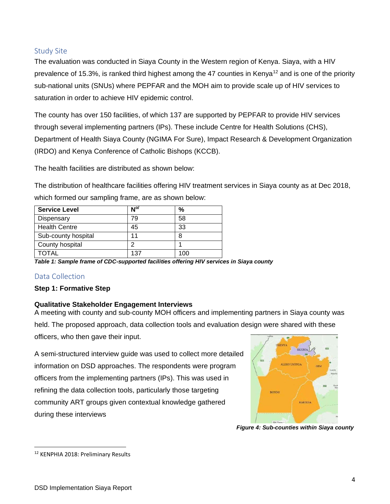# <span id="page-12-0"></span>Study Site

The evaluation was conducted in Siaya County in the Western region of Kenya. Siaya, with a HIV prevalence of 15.3%, is ranked third highest among the 47 counties in Kenya<sup>[12](#page-12-4)</sup> and is one of the priority sub-national units (SNUs) where PEPFAR and the MOH aim to provide scale up of HIV services to saturation in order to achieve HIV epidemic control.

The county has over 150 facilities, of which 137 are supported by PEPFAR to provide HIV services through several implementing partners (IPs). These include Centre for Health Solutions (CHS), Department of Health Siaya County (NGIMA For Sure), Impact Research & Development Organization (IRDO) and Kenya Conference of Catholic Bishops (KCCB).

The health facilities are distributed as shown below:

The distribution of healthcare facilities offering HIV treatment services in Siaya county as at Dec 2018, which formed our sampling frame, are as shown below:

| <b>Service Level</b> | $N^{o}$ | %   |
|----------------------|---------|-----|
| Dispensary           | 79      | 58  |
| <b>Health Centre</b> | 45      | 33  |
| Sub-county hospital  | 11      | 8   |
| County hospital      | റ       |     |
| <b>TOTAL</b>         | 137     | 100 |

<span id="page-12-3"></span>*Table 1: Sample frame of CDC-supported facilities offering HIV services in Siaya county*

# <span id="page-12-1"></span>Data Collection

# <span id="page-12-2"></span>**Step 1: Formative Step**

# **Qualitative Stakeholder Engagement Interviews**

A meeting with county and sub-county MOH officers and implementing partners in Siaya county was held. The proposed approach, data collection tools and evaluation design were shared with these officers, who then gave their input.

A semi-structured interview guide was used to collect more detailed information on DSD approaches. The respondents were program officers from the implementing partners (IPs). This was used in refining the data collection tools, particularly those targeting community ART groups given contextual knowledge gathered during these interviews



*Figure 4: Sub-counties within Siaya county*

<span id="page-12-4"></span><sup>&</sup>lt;sup>12</sup> KENPHIA 2018: Preliminary Results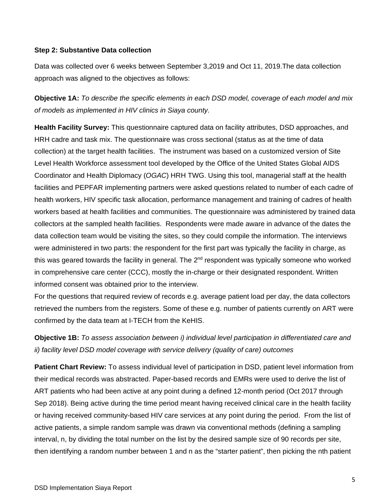#### <span id="page-13-0"></span>**Step 2: Substantive Data collection**

Data was collected over 6 weeks between September 3,2019 and Oct 11, 2019.The data collection approach was aligned to the objectives as follows:

**Objective 1A:** *To describe the specific elements in each DSD model, coverage of each model and mix of models as implemented in HIV clinics in Siaya county.*

**Health Facility Survey:** This questionnaire captured data on facility attributes, DSD approaches, and HRH cadre and task mix. The questionnaire was cross sectional (status as at the time of data collection) at the target health facilities. The instrument was based on a customized version of Site Level Health Workforce assessment tool developed by the Office of the United States Global AIDS Coordinator and Health Diplomacy (*OGAC*) HRH TWG. Using this tool, managerial staff at the health facilities and PEPFAR implementing partners were asked questions related to number of each cadre of health workers, HIV specific task allocation, performance management and training of cadres of health workers based at health facilities and communities. The questionnaire was administered by trained data collectors at the sampled health facilities. Respondents were made aware in advance of the dates the data collection team would be visiting the sites, so they could compile the information. The interviews were administered in two parts: the respondent for the first part was typically the facility in charge, as this was geared towards the facility in general. The  $2<sup>nd</sup>$  respondent was typically someone who worked in comprehensive care center (CCC), mostly the in-charge or their designated respondent. Written informed consent was obtained prior to the interview.

For the questions that required review of records e.g. average patient load per day, the data collectors retrieved the numbers from the registers. Some of these e.g. number of patients currently on ART were confirmed by the data team at I-TECH from the KeHIS.

**Objective 1B:** *To assess association between i) individual level participation in differentiated care and ii) facility level DSD model coverage with service delivery (quality of care) outcomes*

**Patient Chart Review:** To assess individual level of participation in DSD, patient level information from their medical records was abstracted. Paper-based records and EMRs were used to derive the list of ART patients who had been active at any point during a defined 12-month period (Oct 2017 through Sep 2018). Being active during the time period meant having received clinical care in the health facility or having received community-based HIV care services at any point during the period. From the list of active patients, a simple random sample was drawn via conventional methods (defining a sampling interval, n, by dividing the total number on the list by the desired sample size of 90 records per site, then identifying a random number between 1 and n as the "starter patient", then picking the nth patient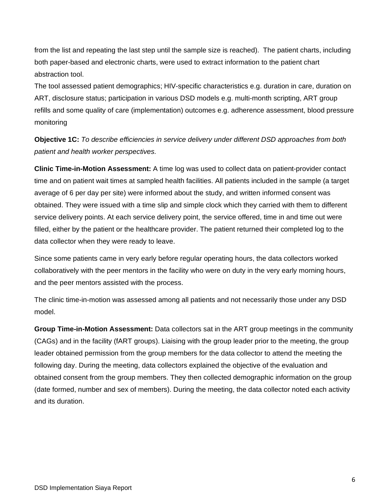from the list and repeating the last step until the sample size is reached). The patient charts, including both paper-based and electronic charts, were used to extract information to the patient chart abstraction tool.

The tool assessed patient demographics; HIV-specific characteristics e.g. duration in care, duration on ART, disclosure status; participation in various DSD models e.g. multi-month scripting, ART group refills and some quality of care (implementation) outcomes e.g. adherence assessment, blood pressure monitoring

**Objective 1C:** *To describe efficiencies in service delivery under different DSD approaches from both patient and health worker perspectives.*

**Clinic Time-in-Motion Assessment:** A time log was used to collect data on patient-provider contact time and on patient wait times at sampled health facilities. All patients included in the sample (a target average of 6 per day per site) were informed about the study, and written informed consent was obtained. They were issued with a time slip and simple clock which they carried with them to different service delivery points. At each service delivery point, the service offered, time in and time out were filled, either by the patient or the healthcare provider. The patient returned their completed log to the data collector when they were ready to leave.

Since some patients came in very early before regular operating hours, the data collectors worked collaboratively with the peer mentors in the facility who were on duty in the very early morning hours, and the peer mentors assisted with the process.

The clinic time-in-motion was assessed among all patients and not necessarily those under any DSD model.

**Group Time-in-Motion Assessment:** Data collectors sat in the ART group meetings in the community (CAGs) and in the facility (fART groups). Liaising with the group leader prior to the meeting, the group leader obtained permission from the group members for the data collector to attend the meeting the following day. During the meeting, data collectors explained the objective of the evaluation and obtained consent from the group members. They then collected demographic information on the group (date formed, number and sex of members). During the meeting, the data collector noted each activity and its duration.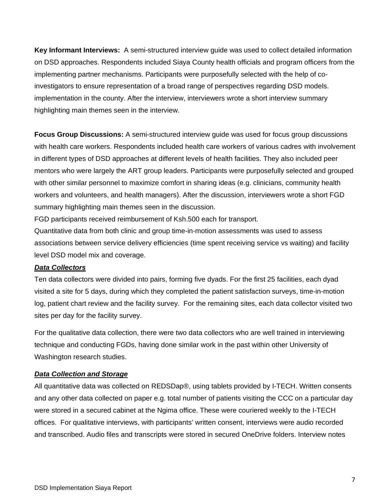**Key Informant Interviews:** A semi-structured interview guide was used to collect detailed information on DSD approaches. Respondents included Siaya County health officials and program officers from the implementing partner mechanisms. Participants were purposefully selected with the help of coinvestigators to ensure representation of a broad range of perspectives regarding DSD models. implementation in the county. After the interview, interviewers wrote a short interview summary highlighting main themes seen in the interview.

**Focus Group Discussions:** A semi-structured interview guide was used for focus group discussions with health care workers. Respondents included health care workers of various cadres with involvement in different types of DSD approaches at different levels of health facilities. They also included peer mentors who were largely the ART group leaders. Participants were purposefully selected and grouped with other similar personnel to maximize comfort in sharing ideas (e.g. clinicians, community health workers and volunteers, and health managers). After the discussion, interviewers wrote a short FGD summary highlighting main themes seen in the discussion.

FGD participants received reimbursement of Ksh.500 each for transport.

Quantitative data from both clinic and group time-in-motion assessments was used to assess associations between service delivery efficiencies (time spent receiving service vs waiting) and facility level DSD model mix and coverage.

#### *Data Collectors*

Ten data collectors were divided into pairs, forming five dyads. For the first 25 facilities, each dyad visited a site for 5 days, during which they completed the patient satisfaction surveys, time-in-motion log, patient chart review and the facility survey. For the remaining sites, each data collector visited two sites per day for the facility survey.

For the qualitative data collection, there were two data collectors who are well trained in interviewing technique and conducting FGDs, having done similar work in the past within other University of Washington research studies.

### *Data Collection and Storage*

All quantitative data was collected on REDSDap®, using tablets provided by I-TECH. Written consents and any other data collected on paper e.g. total number of patients visiting the CCC on a particular day were stored in a secured cabinet at the Ngima office. These were couriered weekly to the I-TECH offices. For qualitative interviews, with participants' written consent, interviews were audio recorded and transcribed. Audio files and transcripts were stored in secured OneDrive folders. Interview notes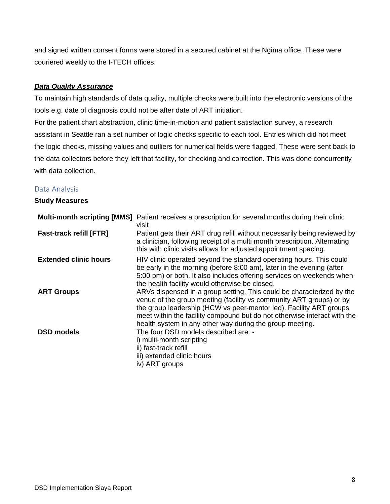and signed written consent forms were stored in a secured cabinet at the Ngima office. These were couriered weekly to the I-TECH offices.

## *Data Quality Assurance*

To maintain high standards of data quality, multiple checks were built into the electronic versions of the tools e.g. date of diagnosis could not be after date of ART initiation.

For the patient chart abstraction, clinic time-in-motion and patient satisfaction survey, a research assistant in Seattle ran a set number of logic checks specific to each tool. Entries which did not meet the logic checks, missing values and outliers for numerical fields were flagged. These were sent back to the data collectors before they left that facility, for checking and correction. This was done concurrently with data collection.

### <span id="page-16-0"></span>Data Analysis

#### <span id="page-16-1"></span>**Study Measures**

|                                | <b>Multi-month scripting [MMS]</b> Patient receives a prescription for several months during their clinic<br>visit                                                                                                                                                                                                                                         |
|--------------------------------|------------------------------------------------------------------------------------------------------------------------------------------------------------------------------------------------------------------------------------------------------------------------------------------------------------------------------------------------------------|
| <b>Fast-track refill [FTR]</b> | Patient gets their ART drug refill without necessarily being reviewed by<br>a clinician, following receipt of a multi month prescription. Alternating<br>this with clinic visits allows for adjusted appointment spacing.                                                                                                                                  |
| <b>Extended clinic hours</b>   | HIV clinic operated beyond the standard operating hours. This could<br>be early in the morning (before 8:00 am), later in the evening (after<br>5:00 pm) or both. It also includes offering services on weekends when<br>the health facility would otherwise be closed.                                                                                    |
| <b>ART Groups</b>              | ARVs dispensed in a group setting. This could be characterized by the<br>venue of the group meeting (facility vs community ART groups) or by<br>the group leadership (HCW vs peer-mentor led). Facility ART groups<br>meet within the facility compound but do not otherwise interact with the<br>health system in any other way during the group meeting. |
| <b>DSD models</b>              | The four DSD models described are: -<br>i) multi-month scripting<br>ii) fast-track refill<br>iii) extended clinic hours<br>iv) ART groups                                                                                                                                                                                                                  |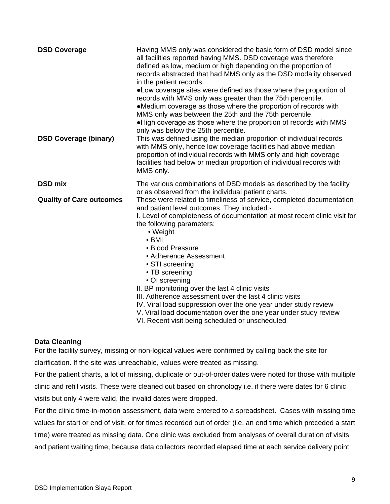| <b>DSD Coverage</b><br><b>DSD Coverage (binary)</b> | Having MMS only was considered the basic form of DSD model since<br>all facilities reported having MMS. DSD coverage was therefore<br>defined as low, medium or high depending on the proportion of<br>records abstracted that had MMS only as the DSD modality observed<br>in the patient records.<br>•Low coverage sites were defined as those where the proportion of<br>records with MMS only was greater than the 75th percentile.<br>•Medium coverage as those where the proportion of records with<br>MMS only was between the 25th and the 75th percentile.<br>. High coverage as those where the proportion of records with MMS<br>only was below the 25th percentile.<br>This was defined using the median proportion of individual records<br>with MMS only, hence low coverage facilities had above median<br>proportion of individual records with MMS only and high coverage<br>facilities had below or median proportion of individual records with<br>MMS only. |
|-----------------------------------------------------|---------------------------------------------------------------------------------------------------------------------------------------------------------------------------------------------------------------------------------------------------------------------------------------------------------------------------------------------------------------------------------------------------------------------------------------------------------------------------------------------------------------------------------------------------------------------------------------------------------------------------------------------------------------------------------------------------------------------------------------------------------------------------------------------------------------------------------------------------------------------------------------------------------------------------------------------------------------------------------|
| <b>DSD mix</b>                                      | The various combinations of DSD models as described by the facility<br>or as observed from the individual patient charts.                                                                                                                                                                                                                                                                                                                                                                                                                                                                                                                                                                                                                                                                                                                                                                                                                                                       |
| <b>Quality of Care outcomes</b>                     | These were related to timeliness of service, completed documentation<br>and patient level outcomes. They included:-<br>I. Level of completeness of documentation at most recent clinic visit for<br>the following parameters:<br>• Weight<br>$\bullet$ BMI<br>• Blood Pressure<br>• Adherence Assessment<br>• STI screening<br>• TB screening<br>• OI screening<br>II. BP monitoring over the last 4 clinic visits<br>III. Adherence assessment over the last 4 clinic visits<br>IV. Viral load suppression over the one year under study review<br>V. Viral load documentation over the one year under study review<br>VI. Recent visit being scheduled or unscheduled                                                                                                                                                                                                                                                                                                         |

### <span id="page-17-0"></span>**Data Cleaning**

For the facility survey, missing or non-logical values were confirmed by calling back the site for

clarification. If the site was unreachable, values were treated as missing.

For the patient charts, a lot of missing, duplicate or out-of-order dates were noted for those with multiple clinic and refill visits. These were cleaned out based on chronology i.e. if there were dates for 6 clinic visits but only 4 were valid, the invalid dates were dropped.

For the clinic time-in-motion assessment, data were entered to a spreadsheet. Cases with missing time values for start or end of visit, or for times recorded out of order (i.e. an end time which preceded a start time) were treated as missing data. One clinic was excluded from analyses of overall duration of visits and patient waiting time, because data collectors recorded elapsed time at each service delivery point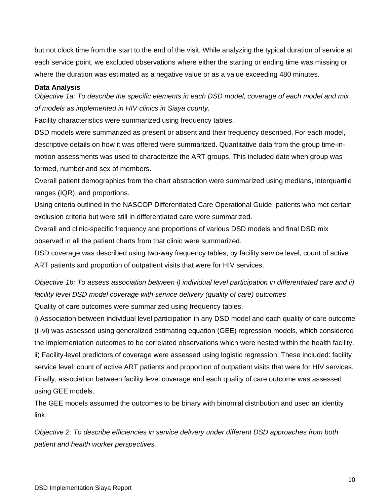but not clock time from the start to the end of the visit. While analyzing the typical duration of service at each service point, we excluded observations where either the starting or ending time was missing or where the duration was estimated as a negative value or as a value exceeding 480 minutes.

#### <span id="page-18-0"></span>**Data Analysis**

*Objective 1a: To describe the specific elements in each DSD model, coverage of each model and mix of models as implemented in HIV clinics in Siaya county.*

Facility characteristics were summarized using frequency tables.

DSD models were summarized as present or absent and their frequency described. For each model, descriptive details on how it was offered were summarized. Quantitative data from the group time-inmotion assessments was used to characterize the ART groups. This included date when group was formed, number and sex of members.

Overall patient demographics from the chart abstraction were summarized using medians, interquartile ranges (IQR), and proportions.

Using criteria outlined in the NASCOP Differentiated Care Operational Guide, patients who met certain exclusion criteria but were still in differentiated care were summarized.

Overall and clinic-specific frequency and proportions of various DSD models and final DSD mix observed in all the patient charts from that clinic were summarized.

DSD coverage was described using two-way frequency tables, by facility service level, count of active ART patients and proportion of outpatient visits that were for HIV services.

*Objective 1b: To assess association between i) individual level participation in differentiated care and ii) facility level DSD model coverage with service delivery (quality of care) outcomes*

Quality of care outcomes were summarized using frequency tables.

i) Association between individual level participation in any DSD model and each quality of care outcome (ii-vi) was assessed using generalized estimating equation (GEE) regression models, which considered the implementation outcomes to be correlated observations which were nested within the health facility. ii) Facility-level predictors of coverage were assessed using logistic regression. These included: facility service level, count of active ART patients and proportion of outpatient visits that were for HIV services. Finally, association between facility level coverage and each quality of care outcome was assessed using GEE models.

The GEE models assumed the outcomes to be binary with binomial distribution and used an identity link.

*Objective 2: To describe efficiencies in service delivery under different DSD approaches from both patient and health worker perspectives.*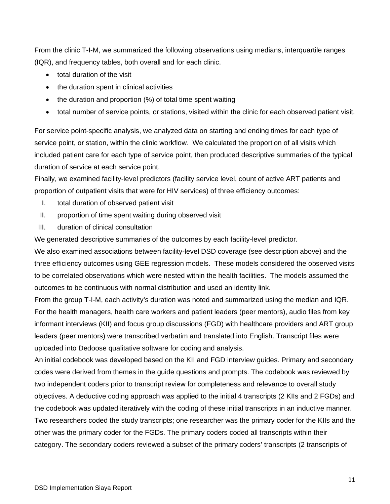From the clinic T-I-M, we summarized the following observations using medians, interquartile ranges (IQR), and frequency tables, both overall and for each clinic.

- total duration of the visit
- the duration spent in clinical activities
- the duration and proportion (%) of total time spent waiting
- total number of service points, or stations, visited within the clinic for each observed patient visit.

For service point-specific analysis, we analyzed data on starting and ending times for each type of service point, or station, within the clinic workflow. We calculated the proportion of all visits which included patient care for each type of service point, then produced descriptive summaries of the typical duration of service at each service point.

Finally, we examined facility-level predictors (facility service level, count of active ART patients and proportion of outpatient visits that were for HIV services) of three efficiency outcomes:

- I. total duration of observed patient visit
- II. proportion of time spent waiting during observed visit
- III. duration of clinical consultation

We generated descriptive summaries of the outcomes by each facility-level predictor.

We also examined associations between facility-level DSD coverage (see description above) and the three efficiency outcomes using GEE regression models. These models considered the observed visits to be correlated observations which were nested within the health facilities. The models assumed the outcomes to be continuous with normal distribution and used an identity link.

From the group T-I-M, each activity's duration was noted and summarized using the median and IQR. For the health managers, health care workers and patient leaders (peer mentors), audio files from key informant interviews (KII) and focus group discussions (FGD) with healthcare providers and ART group leaders (peer mentors) were transcribed verbatim and translated into English. Transcript files were uploaded into Dedoose qualitative software for coding and analysis.

An initial codebook was developed based on the KII and FGD interview guides. Primary and secondary codes were derived from themes in the guide questions and prompts. The codebook was reviewed by two independent coders prior to transcript review for completeness and relevance to overall study objectives. A deductive coding approach was applied to the initial 4 transcripts (2 KIIs and 2 FGDs) and the codebook was updated iteratively with the coding of these initial transcripts in an inductive manner. Two researchers coded the study transcripts; one researcher was the primary coder for the KIIs and the other was the primary coder for the FGDs. The primary coders coded all transcripts within their category. The secondary coders reviewed a subset of the primary coders' transcripts (2 transcripts of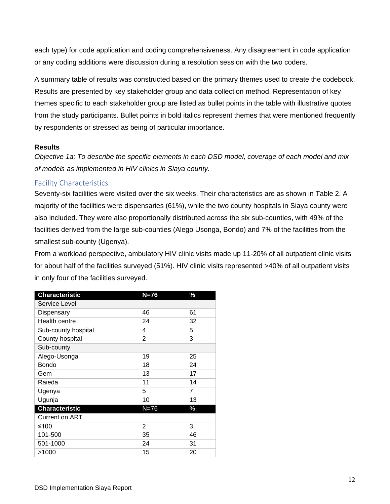each type) for code application and coding comprehensiveness. Any disagreement in code application or any coding additions were discussion during a resolution session with the two coders.

A summary table of results was constructed based on the primary themes used to create the codebook. Results are presented by key stakeholder group and data collection method. Representation of key themes specific to each stakeholder group are listed as bullet points in the table with illustrative quotes from the study participants. Bullet points in bold italics represent themes that were mentioned frequently by respondents or stressed as being of particular importance.

#### <span id="page-20-0"></span>**Results**

*Objective 1a: To describe the specific elements in each DSD model, coverage of each model and mix of models as implemented in HIV clinics in Siaya county.*

# <span id="page-20-1"></span>Facility Characteristics

Seventy-six facilities were visited over the six weeks. Their characteristics are as shown in Table 2. A majority of the facilities were dispensaries (61%), while the two county hospitals in Siaya county were also included. They were also proportionally distributed across the six sub-counties, with 49% of the facilities derived from the large sub-counties (Alego Usonga, Bondo) and 7% of the facilities from the smallest sub-county (Ugenya).

From a workload perspective, ambulatory HIV clinic visits made up 11-20% of all outpatient clinic visits for about half of the facilities surveyed (51%). HIV clinic visits represented >40% of all outpatient visits in only four of the facilities surveyed.

| <b>Characteristic</b> | $N=76$         | %              |
|-----------------------|----------------|----------------|
| Service Level         |                |                |
| Dispensary            | 46             | 61             |
| Health centre         | 24             | 32             |
| Sub-county hospital   | 4              | 5              |
| County hospital       | $\overline{2}$ | 3              |
| Sub-county            |                |                |
| Alego-Usonga          | 19             | 25             |
| <b>Bondo</b>          | 18             | 24             |
| Gem                   | 13             | 17             |
| Raieda                | 11             | 14             |
| Ugenya                | 5              | $\overline{7}$ |
| Ugunja                | 10             | 13             |
| <b>Characteristic</b> | $N=76$         | $\%$           |
| <b>Current on ART</b> |                |                |
| ≤100                  | 2              | 3              |
| 101-500               | 35             | 46             |
| 501-1000              | 24             | 31             |
| >1000                 | 15             | 20             |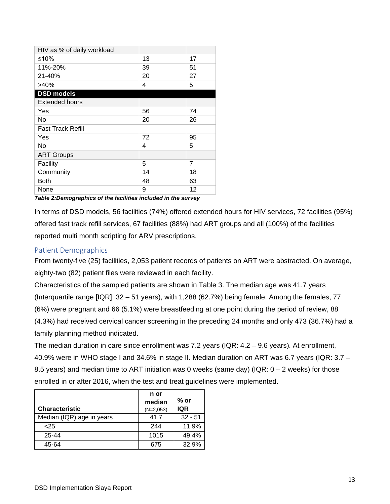| HIV as % of daily workload |    |                |
|----------------------------|----|----------------|
| ≤10%                       | 13 | 17             |
| 11%-20%                    | 39 | 51             |
| 21-40%                     | 20 | 27             |
| >40%                       | 4  | 5              |
| <b>DSD models</b>          |    |                |
| <b>Extended hours</b>      |    |                |
| Yes                        | 56 | 74             |
| No                         | 20 | 26             |
| <b>Fast Track Refill</b>   |    |                |
| Yes                        | 72 | 95             |
| No                         | 4  | 5              |
| <b>ART Groups</b>          |    |                |
| Facility                   | 5  | $\overline{7}$ |
| Community                  | 14 | 18             |
| <b>Both</b>                | 48 | 63             |
| None                       | 9  | 12             |

<span id="page-21-1"></span>*Table 2:Demographics of the facilities included in the survey*

In terms of DSD models, 56 facilities (74%) offered extended hours for HIV services, 72 facilities (95%) offered fast track refill services, 67 facilities (88%) had ART groups and all (100%) of the facilities reported multi month scripting for ARV prescriptions.

# <span id="page-21-0"></span>Patient Demographics

From twenty-five (25) facilities, 2,053 patient records of patients on ART were abstracted. On average, eighty-two (82) patient files were reviewed in each facility.

Characteristics of the sampled patients are shown in Table 3. The median age was 41.7 years (Interquartile range [IQR]: 32 – 51 years), with 1,288 (62.7%) being female. Among the females, 77 (6%) were pregnant and 66 (5.1%) were breastfeeding at one point during the period of review, 88 (4.3%) had received cervical cancer screening in the preceding 24 months and only 473 (36.7%) had a family planning method indicated.

The median duration in care since enrollment was 7.2 years (IQR: 4.2 – 9.6 years). At enrollment, 40.9% were in WHO stage I and 34.6% in stage II. Median duration on ART was 6.7 years (IQR: 3.7 – 8.5 years) and median time to ART initiation was 0 weeks (same day) (IQR: 0 – 2 weeks) for those enrolled in or after 2016, when the test and treat guidelines were implemented.

|                           | n or<br>median | $%$ or    |
|---------------------------|----------------|-----------|
| <b>Characteristic</b>     | $(N=2,053)$    | IQR       |
| Median (IQR) age in years | 41.7           | $32 - 51$ |
| 25                        | 244            | 11.9%     |
| 25-44                     | 1015           | 49.4%     |
| 45-64                     | 675            | 32.9%     |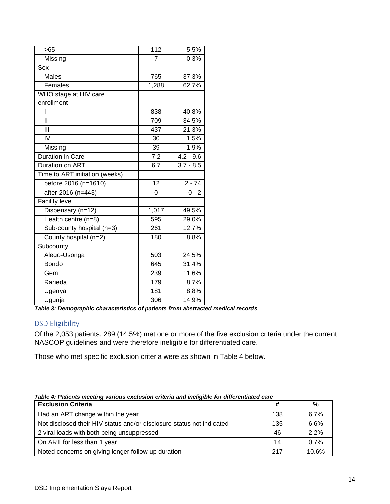| >65                            | 112      | 5.5%        |
|--------------------------------|----------|-------------|
| Missing                        | 7        | 0.3%        |
| Sex                            |          |             |
| <b>Males</b>                   | 765      | 37.3%       |
| Females                        | 1,288    | 62.7%       |
| WHO stage at HIV care          |          |             |
| enrollment                     |          |             |
| I                              | 838      | 40.8%       |
| $\mathbf{I}$                   | 709      | 34.5%       |
| Ш                              | 437      | 21.3%       |
| IV                             | 30       | 1.5%        |
| Missing                        | 39       | 1.9%        |
| Duration in Care               | 7.2      | $4.2 - 9.6$ |
| Duration on ART                | 6.7      | $3.7 - 8.5$ |
| Time to ART initiation (weeks) |          |             |
| before 2016 (n=1610)           | 12       | $2 - 74$    |
| after 2016 (n=443)             | $\Omega$ | $0 - 2$     |
| <b>Facility level</b>          |          |             |
| Dispensary (n=12)              | 1,017    | 49.5%       |
| Health centre (n=8)            | 595      | 29.0%       |
| Sub-county hospital $(n=3)$    | 261      | 12.7%       |
| County hospital (n=2)          | 180      | 8.8%        |
| Subcounty                      |          |             |
| Alego-Usonga                   | 503      | 24.5%       |
| <b>Bondo</b>                   | 645      | 31.4%       |
| Gem                            | 239      | 11.6%       |
| Rarieda                        | 179      | 8.7%        |
| Ugenya                         | 181      | 8.8%        |
| Ugunja                         | 306      | 14.9%       |

<span id="page-22-1"></span>*Table 3: Demographic characteristics of patients from abstracted medical records*

# <span id="page-22-0"></span>DSD Eligibility

Of the 2,053 patients, 289 (14.5%) met one or more of the five exclusion criteria under the current NASCOP guidelines and were therefore ineligible for differentiated care.

Those who met specific exclusion criteria were as shown in Table 4 below.

| <b>Exclusion Criteria</b>                                             | #   | %     |
|-----------------------------------------------------------------------|-----|-------|
| Had an ART change within the year                                     | 138 | 6.7%  |
| Not disclosed their HIV status and/or disclosure status not indicated | 135 | 6.6%  |
| 2 viral loads with both being unsuppressed                            | 46  | 2.2%  |
| On ART for less than 1 year                                           | 14  | 0.7%  |
| Noted concerns on giving longer follow-up duration                    | 217 | 10.6% |

#### <span id="page-22-2"></span>*Table 4: Patients meeting various exclusion criteria and ineligible for differentiated care*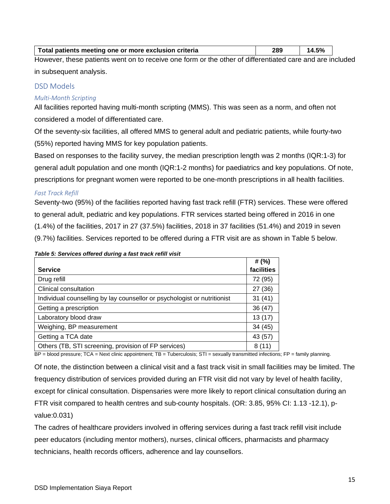| Total patients meeting one or more exclusion criteria                                                      | 289 | 14.5% |  |
|------------------------------------------------------------------------------------------------------------|-----|-------|--|
| University there a priente weather to ready a see form or the ather of differentiated ease and are include |     |       |  |

However, these patients went on to receive one form or the other of differentiated care and are included in subsequent analysis.

## <span id="page-23-0"></span>DSD Models

### *Multi-Month Scripting*

All facilities reported having multi-month scripting (MMS). This was seen as a norm, and often not considered a model of differentiated care.

Of the seventy-six facilities, all offered MMS to general adult and pediatric patients, while fourty-two (55%) reported having MMS for key population patients.

Based on responses to the facility survey, the median prescription length was 2 months (IQR:1-3) for general adult population and one month (IQR:1-2 months) for paediatrics and key populations. Of note, prescriptions for pregnant women were reported to be one-month prescriptions in all health facilities.

#### *Fast Track Refill*

Seventy-two (95%) of the facilities reported having fast track refill (FTR) services. These were offered to general adult, pediatric and key populations. FTR services started being offered in 2016 in one (1.4%) of the facilities, 2017 in 27 (37.5%) facilities, 2018 in 37 facilities (51.4%) and 2019 in seven (9.7%) facilities. Services reported to be offered during a FTR visit are as shown in Table 5 below.

| <b>Service</b>                                                           | # $(\% )$<br>facilities |
|--------------------------------------------------------------------------|-------------------------|
| Drug refill                                                              | 72 (95)                 |
| Clinical consultation                                                    | 27 (36)                 |
| Individual counselling by lay counsellor or psychologist or nutritionist | 31(41)                  |
| Getting a prescription                                                   | 36 (47)                 |
| Laboratory blood draw                                                    | 13(17)                  |
| Weighing, BP measurement                                                 | 34(45)                  |
| Getting a TCA date                                                       | 43 (57)                 |
| Others (TB, STI screening, provision of FP services)                     | 8 (11)                  |

#### <span id="page-23-1"></span>*Table 5: Services offered during a fast track refill visit*

BP = blood pressure; TCA = Next clinic appointment; TB = Tuberculosis; STI = sexually transmitted infections; FP = family planning.

Of note, the distinction between a clinical visit and a fast track visit in small facilities may be limited. The frequency distribution of services provided during an FTR visit did not vary by level of health facility, except for clinical consultation. Dispensaries were more likely to report clinical consultation during an FTR visit compared to health centres and sub-county hospitals. (OR: 3.85, 95% CI: 1.13 -12.1), pvalue:0.031)

The cadres of healthcare providers involved in offering services during a fast track refill visit include peer educators (including mentor mothers), nurses, clinical officers, pharmacists and pharmacy technicians, health records officers, adherence and lay counsellors.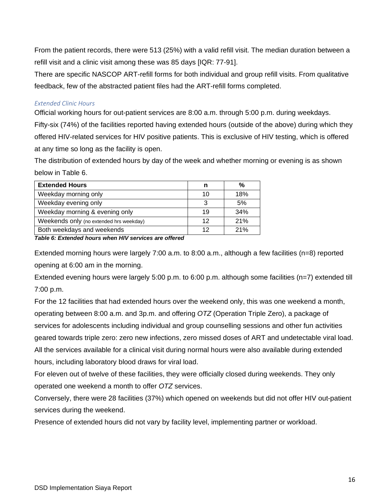From the patient records, there were 513 (25%) with a valid refill visit. The median duration between a refill visit and a clinic visit among these was 85 days [IQR: 77-91].

There are specific NASCOP ART-refill forms for both individual and group refill visits. From qualitative feedback, few of the abstracted patient files had the ART-refill forms completed.

### *Extended Clinic Hours*

Official working hours for out-patient services are 8:00 a.m. through 5:00 p.m. during weekdays. Fifty-six (74%) of the facilities reported having extended hours (outside of the above) during which they offered HIV-related services for HIV positive patients. This is exclusive of HIV testing, which is offered at any time so long as the facility is open.

The distribution of extended hours by day of the week and whether morning or evening is as shown below in Table 6.

| <b>Extended Hours</b>                   | n  | %   |
|-----------------------------------------|----|-----|
| Weekday morning only                    | 10 | 18% |
| Weekday evening only                    | 3  | 5%  |
| Weekday morning & evening only          | 19 | 34% |
| Weekends only (no extended hrs weekday) | 12 | 21% |
| Both weekdays and weekends              | 12 | 21% |

<span id="page-24-0"></span>*Table 6: Extended hours when HIV services are offered*

Extended morning hours were largely 7:00 a.m. to 8:00 a.m., although a few facilities (n=8) reported opening at 6:00 am in the morning.

Extended evening hours were largely 5:00 p.m. to 6:00 p.m. although some facilities (n=7) extended till 7:00 p.m.

For the 12 facilities that had extended hours over the weekend only, this was one weekend a month, operating between 8:00 a.m. and 3p.m. and offering *OTZ* (Operation Triple Zero), a package of services for adolescents including individual and group counselling sessions and other fun activities geared towards triple zero: zero new infections, zero missed doses of ART and undetectable viral load. All the services available for a clinical visit during normal hours were also available during extended hours, including laboratory blood draws for viral load.

For eleven out of twelve of these facilities, they were officially closed during weekends. They only operated one weekend a month to offer *OTZ* services.

Conversely, there were 28 facilities (37%) which opened on weekends but did not offer HIV out-patient services during the weekend.

Presence of extended hours did not vary by facility level, implementing partner or workload.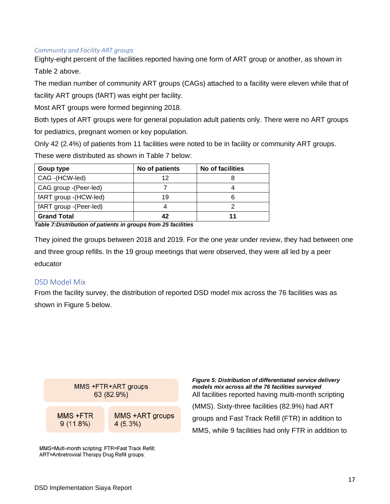#### *Community and Facility ART groups*

Eighty-eight percent of the facilities reported having one form of ART group or another, as shown in Table 2 above.

The median number of community ART groups (CAGs) attached to a facility were eleven while that of facility ART groups (fART) was eight per facility.

Most ART groups were formed beginning 2018.

Both types of ART groups were for general population adult patients only. There were no ART groups for pediatrics, pregnant women or key population.

Only 42 (2.4%) of patients from 11 facilities were noted to be in facility or community ART groups.

These were distributed as shown in Table 7 below:

| Goup type               | No of patients | No of facilities |
|-------------------------|----------------|------------------|
| CAG - (HCW-led)         | 12             |                  |
| CAG group -(Peer-led)   |                |                  |
| fART group - (HCW-led)  | 19             |                  |
| fART group - (Peer-led) |                |                  |
| <b>Grand Total</b>      | 42             |                  |

<span id="page-25-1"></span>*Table 7:Distribution of patients in groups from 25 facilities*

They joined the groups between 2018 and 2019. For the one year under review, they had between one and three group refills. In the 19 group meetings that were observed, they were all led by a peer educator

# <span id="page-25-0"></span>DSD Model Mix

From the facility survey, the distribution of reported DSD model mix across the 76 facilities was as shown in Figure 5 below.



MMS=Multi-month scripting; FTR=Fast Track Refill; ART=Antiretroviral Therapy Drug Refill groups;

<span id="page-25-2"></span>*Figure 5: Distribution of differentiated service delivery models mix across all the 76 facilities surveyed* All facilities reported having multi-month scripting (MMS). Sixty-three facilities (82.9%) had ART groups and Fast Track Refill (FTR) in addition to MMS, while 9 facilities had only FTR in addition to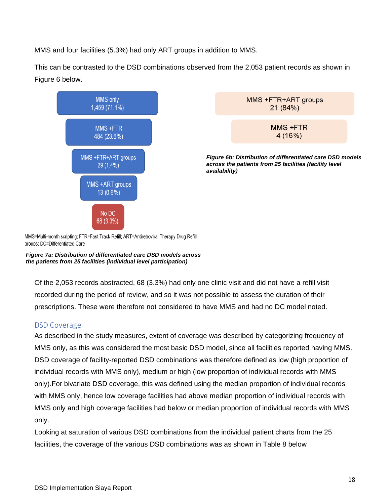MMS and four facilities (5.3%) had only ART groups in addition to MMS.

This can be contrasted to the DSD combinations observed from the 2,053 patient records as shown in Figure 6 below.



MMS +FTR+ART groups 21 (84%)

> MMS +FTR 4 (16%)

*Figure 6b: Distribution of differentiated care DSD models across the patients from 25 facilities (facility level availability)*

MMS=Multi-month scripting; FTR=Fast Track Refill; ART=Antiretroviral Therapy Drug Refill aroups: DC=Differentiated Care

*Figure 7a: Distribution of differentiated care DSD models across the patients from 25 facilities (individual level participation)*

Of the 2,053 records abstracted, 68 (3.3%) had only one clinic visit and did not have a refill visit recorded during the period of review, and so it was not possible to assess the duration of their prescriptions. These were therefore not considered to have MMS and had no DC model noted.

# <span id="page-26-0"></span>DSD Coverage

As described in the study measures, extent of coverage was described by categorizing frequency of MMS only, as this was considered the most basic DSD model, since all facilities reported having MMS. DSD coverage of facility-reported DSD combinations was therefore defined as low (high proportion of individual records with MMS only), medium or high (low proportion of individual records with MMS only).For bivariate DSD coverage, this was defined using the median proportion of individual records with MMS only, hence low coverage facilities had above median proportion of individual records with MMS only and high coverage facilities had below or median proportion of individual records with MMS only.

Looking at saturation of various DSD combinations from the individual patient charts from the 25 facilities, the coverage of the various DSD combinations was as shown in Table 8 below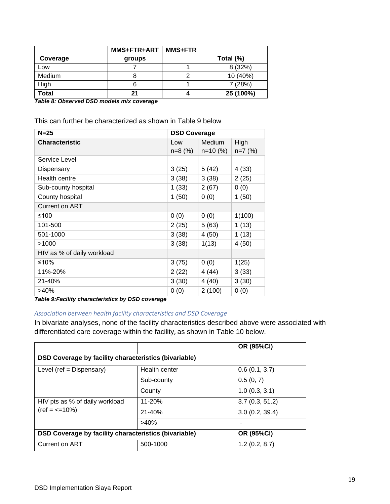|          | MMS+FTR+ART | <b>MMS+FTR</b> |           |
|----------|-------------|----------------|-----------|
| Coverage | groups      |                | Total (%) |
| Low      |             |                | 8 (32%)   |
| Medium   |             |                | 10 (40%)  |
| High     | 6           |                | 7(28%)    |
| Total    | 21          |                | 25 (100%) |

<span id="page-27-0"></span>*Table 8: Observed DSD models mix coverage*

This can further be characterized as shown in Table 9 below

| $N=25$                     | <b>DSD Coverage</b> |            |           |
|----------------------------|---------------------|------------|-----------|
| <b>Characteristic</b>      | Low                 | Medium     | High      |
|                            | $n=8$ (%)           | $n=10$ (%) | $n=7$ (%) |
| Service Level              |                     |            |           |
| Dispensary                 | 3(25)               | 5(42)      | 4 (33)    |
| Health centre              | 3(38)               | 3(38)      | 2(25)     |
| Sub-county hospital        | 1(33)               | 2(67)      | 0(0)      |
| County hospital            | 1(50)               | 0(0)       | 1(50)     |
| Current on ART             |                     |            |           |
| ≤100                       | 0(0)                | 0(0)       | 1(100)    |
| 101-500                    | 2(25)               | 5(63)      | 1(13)     |
| 501-1000                   | 3(38)               | 4(50)      | 1(13)     |
| >1000                      | 3(38)               | 1(13)      | 4(50)     |
| HIV as % of daily workload |                     |            |           |
| ≤10%                       | 3(75)               | 0(0)       | 1(25)     |
| 11%-20%                    | 2(22)               | 4 (44)     | 3(33)     |
| 21-40%                     | 3(30)               | 4 (40)     | 3(30)     |
| >40%                       | 0(0)                | 2(100)     | 0(0)      |

<span id="page-27-1"></span>*Table 9:Facility characteristics by DSD coverage*

# *Association between health facility characteristics and DSD Coverage*

In bivariate analyses, none of the facility characteristics described above were associated with differentiated care coverage within the facility, as shown in Table 10 below.

|                                                                    |                                                              | OR (95%CI)     |  |  |
|--------------------------------------------------------------------|--------------------------------------------------------------|----------------|--|--|
|                                                                    | <b>DSD Coverage by facility characteristics (bivariable)</b> |                |  |  |
| Level (ref = $Dispensary$ )                                        | Health center                                                | 0.6(0.1, 3.7)  |  |  |
|                                                                    | Sub-county                                                   | 0.5(0, 7)      |  |  |
|                                                                    | County                                                       | 1.0(0.3, 3.1)  |  |  |
| HIV pts as % of daily workload<br>$(ref = \langle = 10\% \rangle)$ | $11 - 20%$                                                   | 3.7(0.3, 51.2) |  |  |
|                                                                    | $21 - 40%$                                                   | 3.0(0.2, 39.4) |  |  |
|                                                                    | >40%                                                         |                |  |  |
| DSD Coverage by facility characteristics (bivariable)              |                                                              | OR (95%CI)     |  |  |
| Current on ART                                                     | 500-1000                                                     | 1.2(0.2, 8.7)  |  |  |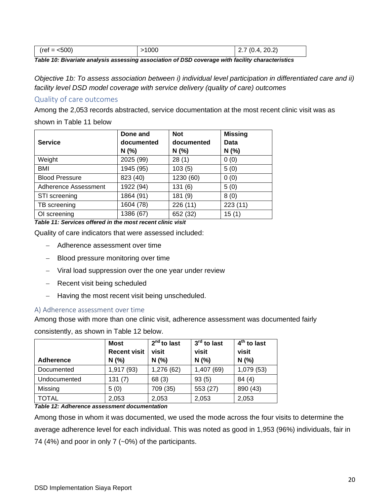| $(ref = <500)$ | 1000 | (4, 20.2)<br>(0.4,<br><u>.</u> |
|----------------|------|--------------------------------|
|----------------|------|--------------------------------|

<span id="page-28-2"></span>*Table 10: Bivariate analysis assessing association of DSD coverage with facility characteristics*

*Objective 1b: To assess association between i) individual level participation in differentiated care and ii) facility level DSD model coverage with service delivery (quality of care) outcomes*

## <span id="page-28-0"></span>Quality of care outcomes

Among the 2,053 records abstracted, service documentation at the most recent clinic visit was as

shown in Table 11 below

|                       | Done and   | <b>Not</b> | <b>Missing</b> |
|-----------------------|------------|------------|----------------|
| <b>Service</b>        | documented | documented | Data           |
|                       | N(%)       | N(%)       | N(%            |
| Weight                | 2025 (99)  | 28(1)      | 0(0)           |
| <b>BMI</b>            | 1945 (95)  | 103(5)     | 5(0)           |
| <b>Blood Pressure</b> | 823 (40)   | 1230 (60)  | 0(0)           |
| Adherence Assessment  | 1922 (94)  | 131(6)     | 5(0)           |
| STI screening         | 1864 (91)  | 181 (9)    | 8(0)           |
| TB screening          | 1604 (78)  | 226(11)    | 223(11)        |
| OI screening          | 1386 (67)  | 652 (32)   | 15(1)          |

<span id="page-28-3"></span>*Table 11: Services offered in the most recent clinic visit*

Quality of care indicators that were assessed included:

- − Adherence assessment over time
- − Blood pressure monitoring over time
- − Viral load suppression over the one year under review
- − Recent visit being scheduled
- − Having the most recent visit being unscheduled.

### <span id="page-28-1"></span>A) Adherence assessment over time

Among those with more than one clinic visit, adherence assessment was documented fairly

consistently, as shown in Table 12 below.

|                  | <b>Most</b><br><b>Recent visit</b> | $2nd$ to last<br>visit | 3 <sup>rd</sup> to last<br>visit | 4 <sup>th</sup> to last<br>visit |
|------------------|------------------------------------|------------------------|----------------------------------|----------------------------------|
| <b>Adherence</b> | N(%                                | N(%                    | N(%)                             | N(%                              |
| Documented       | 1,917 (93)                         | 1,276 (62)             | 1,407 (69)                       | 1,079 (53)                       |
| Undocumented     | 131(7)                             | 68 (3)                 | 93(5)                            | 84(4)                            |
| Missing          | 5(0)                               | 709 (35)               | 553 (27)                         | 890 (43)                         |
| <b>TOTAL</b>     | 2,053                              | 2,053                  | 2,053                            | 2,053                            |

<span id="page-28-4"></span>*Table 12: Adherence assessment documentation*

Among those in whom it was documented, we used the mode across the four visits to determine the average adherence level for each individual. This was noted as good in 1,953 (96%) individuals, fair in 74 (4%) and poor in only 7 (~0%) of the participants.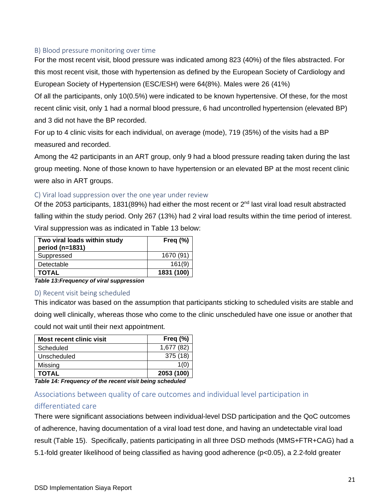### <span id="page-29-0"></span>B) Blood pressure monitoring over time

For the most recent visit, blood pressure was indicated among 823 (40%) of the files abstracted. For this most recent visit, those with hypertension as defined by the European Society of Cardiology and European Society of Hypertension (ESC/ESH) were 64(8%). Males were 26 (41%)

Of all the participants, only 10(0.5%) were indicated to be known hypertensive. Of these, for the most recent clinic visit, only 1 had a normal blood pressure, 6 had uncontrolled hypertension (elevated BP) and 3 did not have the BP recorded.

For up to 4 clinic visits for each individual, on average (mode), 719 (35%) of the visits had a BP measured and recorded.

Among the 42 participants in an ART group, only 9 had a blood pressure reading taken during the last group meeting. None of those known to have hypertension or an elevated BP at the most recent clinic were also in ART groups.

### <span id="page-29-1"></span>C) Viral load suppression over the one year under review

Of the 2053 participants, 1831(89%) had either the most recent or  $2^{nd}$  last viral load result abstracted falling within the study period. Only 267 (13%) had 2 viral load results within the time period of interest. Viral suppression was as indicated in Table 13 below:

| Two viral loads within study<br>period (n=1831) | Freq $(\%)$ |
|-------------------------------------------------|-------------|
| Suppressed                                      | 1670 (91)   |
| Detectable                                      | 161(9)      |
| <b>TOTAL</b>                                    | 1831 (100)  |

<span id="page-29-4"></span>*Table 13:Frequency of viral suppression*

### <span id="page-29-2"></span>D) Recent visit being scheduled

This indicator was based on the assumption that participants sticking to scheduled visits are stable and doing well clinically, whereas those who come to the clinic unscheduled have one issue or another that could not wait until their next appointment.

| <b>Most recent clinic visit</b> | Freq $(\%)$ |
|---------------------------------|-------------|
| Scheduled                       | 1,677 (82)  |
| Unscheduled                     | 375 (18)    |
| Missing                         | 1(0)        |
| <b>TOTAL</b>                    | 2053 (100)  |

<span id="page-29-5"></span>*Table 14: Frequency of the recent visit being scheduled*

# <span id="page-29-3"></span>Associations between quality of care outcomes and individual level participation in

# differentiated care

There were significant associations between individual-level DSD participation and the QoC outcomes of adherence, having documentation of a viral load test done, and having an undetectable viral load result (Table 15). Specifically, patients participating in all three DSD methods (MMS+FTR+CAG) had a 5.1-fold greater likelihood of being classified as having good adherence (p<0.05), a 2.2-fold greater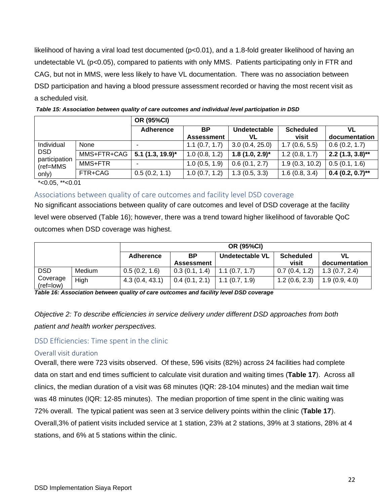likelihood of having a viral load test documented (p<0.01), and a 1.8-fold greater likelihood of having an undetectable VL (p<0.05), compared to patients with only MMS. Patients participating only in FTR and CAG, but not in MMS, were less likely to have VL documentation. There was no association between DSD participation and having a blood pressure assessment recorded or having the most recent visit as a scheduled visit.

|                                                        |             | <b>OR (95%CI)</b>              |                   |                     |                  |                    |
|--------------------------------------------------------|-------------|--------------------------------|-------------------|---------------------|------------------|--------------------|
|                                                        |             | <b>Adherence</b>               | <b>BP</b>         | Undetectable        | <b>Scheduled</b> | VL                 |
|                                                        |             |                                | <b>Assessment</b> | VL                  | visit            | documentation      |
| Individual<br><b>DSD</b><br>participation<br>(ref=MMS) | None        | -                              | 1.1(0.7, 1.7)     | 3.0(0.4, 25.0)      | 1.7(0.6, 5.5)    | 0.6(0.2, 1.7)      |
|                                                        | MMS+FTR+CAG | $5.1$ (1.3, 19.9) <sup>*</sup> | 1.0(0.8, 1.2)     | $1.8(1.0, 2.9)^{*}$ | 1.2(0.8, 1.7)    | $2.2$ (1.3, 3.8)** |
|                                                        | MMS+FTR     |                                | 1.0(0.5, 1.9)     | 0.6(0.1, 2.7)       | 1.9(0.3, 10.2)   | 0.5(0.1, 1.6)      |
| only)                                                  | FTR+CAG     | 0.5(0.2, 1.1)                  | 1.0(0.7, 1.2)     | 1.3(0.5, 3.3)       | 1.6(0.8, 3.4)    | $0.4$ (0.2, 0.7)** |

<span id="page-30-3"></span>

| Table 15: Association between quality of care outcomes and individual level participation in DSD |  |
|--------------------------------------------------------------------------------------------------|--|
|--------------------------------------------------------------------------------------------------|--|

 $*$ <0.05,  $*$  $<$ 0.01

<span id="page-30-0"></span>Associations between quality of care outcomes and facility level DSD coverage

No significant associations between quality of care outcomes and level of DSD coverage at the facility level were observed (Table 16); however, there was a trend toward higher likelihood of favorable QoC outcomes when DSD coverage was highest.

|                       |        | <b>OR (95%CI)</b> |               |                 |                  |               |  |  |
|-----------------------|--------|-------------------|---------------|-----------------|------------------|---------------|--|--|
|                       |        | <b>Adherence</b>  | <b>BP</b>     | Undetectable VL | <b>Scheduled</b> | VL            |  |  |
|                       |        |                   | Assessment    |                 | visit            | documentation |  |  |
| <b>DSD</b>            | Medium | 0.5(0.2, 1.6)     | 0.3(0.1, 1.4) | 1.1(0.7, 1.7)   | 0.7(0.4, 1.2)    | 1.3(0.7, 2.4) |  |  |
| Coverage<br>(ref=low) | High   | 4.3(0.4, 43.1)    | 0.4(0.1, 2.1) | 1.1(0.7, 1.9)   | 1.2(0.6, 2.3)    | 1.9(0.9, 4.0) |  |  |

<span id="page-30-4"></span>*Table 16: Association between quality of care outcomes and facility level DSD coverage*

*Objective 2: To describe efficiencies in service delivery under different DSD approaches from both patient and health worker perspectives.*

<span id="page-30-1"></span>DSD Efficiencies: Time spent in the clinic

### <span id="page-30-2"></span>Overall visit duration

Overall, there were 723 visits observed. Of these, 596 visits (82%) across 24 facilities had complete data on start and end times sufficient to calculate visit duration and waiting times (**Table 17**). Across all clinics, the median duration of a visit was 68 minutes (IQR: 28-104 minutes) and the median wait time was 48 minutes (IQR: 12-85 minutes). The median proportion of time spent in the clinic waiting was 72% overall. The typical patient was seen at 3 service delivery points within the clinic (**Table 17**). Overall,3% of patient visits included service at 1 station, 23% at 2 stations, 39% at 3 stations, 28% at 4 stations, and 6% at 5 stations within the clinic.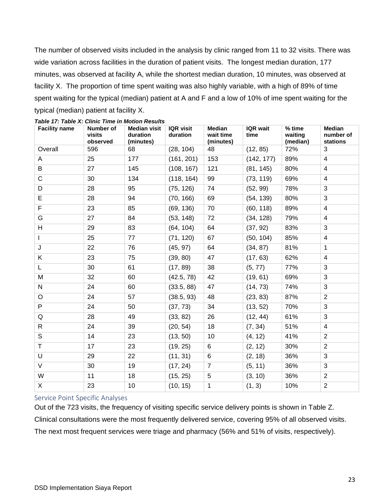The number of observed visits included in the analysis by clinic ranged from 11 to 32 visits. There was wide variation across facilities in the duration of patient visits. The longest median duration, 177 minutes, was observed at facility A, while the shortest median duration, 10 minutes, was observed at facility X. The proportion of time spent waiting was also highly variable, with a high of 89% of time spent waiting for the typical (median) patient at A and F and a low of 10% of ime spent waiting for the typical (median) patient at facility X.

| <b>Facility name</b> | Number of<br>visits<br>observed | <b>Median visit</b><br>duration<br>(minutes) | <b>IQR</b> visit<br>duration | <b>Median</b><br>wait time<br>(minutes) | <b>IQR</b> wait<br>time | % time<br>waiting<br>(median) | Median<br>number of<br>stations |
|----------------------|---------------------------------|----------------------------------------------|------------------------------|-----------------------------------------|-------------------------|-------------------------------|---------------------------------|
| Overall              | 596                             | 68                                           | (28, 104)                    | 48                                      | (12, 85)                | 72%                           | 3                               |
| Α                    | 25                              | 177                                          | (161, 201)                   | 153                                     | (142, 177)              | 89%                           | 4                               |
| B                    | 27                              | 145                                          | (108, 167)                   | 121                                     | (81, 145)               | 80%                           | 4                               |
| C                    | 30                              | 134                                          | (118, 164)                   | 99                                      | (73, 119)               | 69%                           | 4                               |
| D                    | 28                              | 95                                           | (75, 126)                    | 74                                      | (52, 99)                | 78%                           | 3                               |
| E                    | 28                              | 94                                           | (70, 166)                    | 69                                      | (54, 139)               | 80%                           | 3                               |
| F                    | 23                              | 85                                           | (69, 136)                    | 70                                      | (60, 118)               | 89%                           | 4                               |
| G                    | 27                              | 84                                           | (53, 148)                    | 72                                      | (34, 128)               | 79%                           | 4                               |
| H                    | 29                              | 83                                           | (64, 104)                    | 64                                      | (37, 92)                | 83%                           | 3                               |
| $\mathbf{I}$         | 25                              | 77                                           | (71, 120)                    | 67                                      | (50, 104)               | 85%                           | 4                               |
| J                    | 22                              | 76                                           | (45, 97)                     | 64                                      | (34, 87)                | 81%                           | $\mathbf{1}$                    |
| Κ                    | 23                              | 75                                           | (39, 80)                     | 47                                      | (17, 63)                | 62%                           | 4                               |
| L                    | 30                              | 61                                           | (17, 89)                     | 38                                      | (5, 77)                 | 77%                           | 3                               |
| M                    | 32                              | 60                                           | (42.5, 78)                   | 42                                      | (19, 61)                | 69%                           | 3                               |
| N                    | 24                              | 60                                           | (33.5, 88)                   | 47                                      | (14, 73)                | 74%                           | 3                               |
| $\circ$              | 24                              | 57                                           | (38.5, 93)                   | 48                                      | (23, 83)                | 87%                           | $\overline{2}$                  |
| P                    | 24                              | 50                                           | (37, 73)                     | 34                                      | (13, 52)                | 70%                           | 3                               |
| Q                    | 28                              | 49                                           | (33, 82)                     | 26                                      | (12, 44)                | 61%                           | 3                               |
| $\mathsf{R}$         | 24                              | 39                                           | (20, 54)                     | 18                                      | (7, 34)                 | 51%                           | 4                               |
| S                    | 14                              | 23                                           | (13, 50)                     | 10                                      | (4, 12)                 | 41%                           | 2                               |
| $\mathsf T$          | 17                              | 23                                           | (19, 25)                     | 6                                       | (2, 12)                 | 30%                           | $\overline{2}$                  |
| U                    | 29                              | 22                                           | (11, 31)                     | 6                                       | (2, 18)                 | 36%                           | 3                               |
| $\vee$               | 30                              | 19                                           | (17, 24)                     | $\overline{7}$                          | (5, 11)                 | 36%                           | 3                               |
| W                    | 11                              | 18                                           | (15, 25)                     | 5                                       | (3, 10)                 | 36%                           | $\overline{2}$                  |
| $\mathsf{X}$         | 23                              | 10                                           | (10, 15)                     | $\mathbf{1}$                            | (1, 3)                  | 10%                           | $\overline{2}$                  |

#### <span id="page-31-1"></span>*Table 17: Table X: Clinic Time in Motion Results*

#### <span id="page-31-0"></span>Service Point Specific Analyses

Out of the 723 visits, the frequency of visiting specific service delivery points is shown in Table Z. Clinical consultations were the most frequently delivered service, covering 95% of all observed visits. The next most frequent services were triage and pharmacy (56% and 51% of visits, respectively).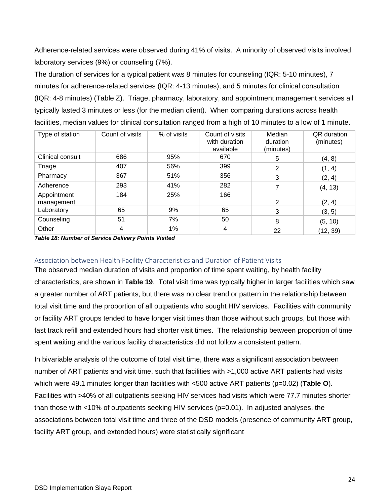Adherence-related services were observed during 41% of visits. A minority of observed visits involved laboratory services (9%) or counseling (7%).

The duration of services for a typical patient was 8 minutes for counseling (IQR: 5-10 minutes), 7 minutes for adherence-related services (IQR: 4-13 minutes), and 5 minutes for clinical consultation (IQR: 4-8 minutes) (Table Z). Triage, pharmacy, laboratory, and appointment management services all typically lasted 3 minutes or less (for the median client). When comparing durations across health facilities, median values for clinical consultation ranged from a high of 10 minutes to a low of 1 minute.

| Type of station           | Count of visits | % of visits | Count of visits<br>with duration<br>available | Median<br>duration<br>(minutes) | IQR duration<br>(minutes) |
|---------------------------|-----------------|-------------|-----------------------------------------------|---------------------------------|---------------------------|
| Clinical consult          | 686             | 95%         | 670                                           | 5                               | (4, 8)                    |
| Triage                    | 407             | 56%         | 399                                           | 2                               | (1, 4)                    |
| Pharmacy                  | 367             | 51%         | 356                                           | 3                               | (2, 4)                    |
| Adherence                 | 293             | 41%         | 282                                           | 7                               | (4, 13)                   |
| Appointment<br>management | 184             | 25%         | 166                                           | 2                               | (2, 4)                    |
| Laboratory                | 65              | 9%          | 65                                            | 3                               | (3, 5)                    |
| Counseling                | 51              | 7%          | 50                                            | 8                               | (5, 10)                   |
| Other                     | 4               | 1%          | 4                                             | 22                              | (12, 39)                  |

<span id="page-32-1"></span>*Table 18: Number of Service Delivery Points Visited*

### <span id="page-32-0"></span>Association between Health Facility Characteristics and Duration of Patient Visits

The observed median duration of visits and proportion of time spent waiting, by health facility characteristics, are shown in **Table 19**. Total visit time was typically higher in larger facilities which saw a greater number of ART patients, but there was no clear trend or pattern in the relationship between total visit time and the proportion of all outpatients who sought HIV services. Facilities with community or facility ART groups tended to have longer visit times than those without such groups, but those with fast track refill and extended hours had shorter visit times. The relationship between proportion of time spent waiting and the various facility characteristics did not follow a consistent pattern.

In bivariable analysis of the outcome of total visit time, there was a significant association between number of ART patients and visit time, such that facilities with >1,000 active ART patients had visits which were 49.1 minutes longer than facilities with <500 active ART patients (p=0.02) (**Table O**). Facilities with >40% of all outpatients seeking HIV services had visits which were 77.7 minutes shorter than those with <10% of outpatients seeking HIV services (p=0.01). In adjusted analyses, the associations between total visit time and three of the DSD models (presence of community ART group, facility ART group, and extended hours) were statistically significant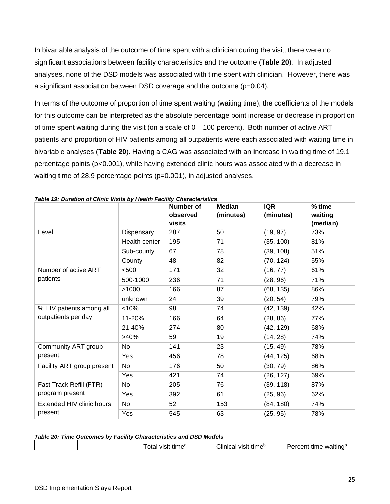In bivariable analysis of the outcome of time spent with a clinician during the visit, there were no significant associations between facility characteristics and the outcome (**Table 20**). In adjusted analyses, none of the DSD models was associated with time spent with clinician. However, there was a significant association between DSD coverage and the outcome (p=0.04).

In terms of the outcome of proportion of time spent waiting (waiting time), the coefficients of the models for this outcome can be interpreted as the absolute percentage point increase or decrease in proportion of time spent waiting during the visit (on a scale of  $0 - 100$  percent). Both number of active ART patients and proportion of HIV patients among all outpatients were each associated with waiting time in bivariable analyses (**Table 20**). Having a CAG was associated with an increase in waiting time of 19.1 percentage points (p<0.001), while having extended clinic hours was associated with a decrease in waiting time of 28.9 percentage points (p=0.001), in adjusted analyses.

|                            |               | Number of<br>observed<br>visits | <b>Median</b><br>(minutes) | <b>IQR</b><br>(minutes) | % time<br>waiting<br>(median) |
|----------------------------|---------------|---------------------------------|----------------------------|-------------------------|-------------------------------|
| Level                      | Dispensary    | 287                             | 50                         | (19, 97)                | 73%                           |
|                            | Health center | 195                             | 71                         | (35, 100)               | 81%                           |
|                            | Sub-county    | 67                              | 78                         | (39, 108)               | 51%                           |
|                            | County        | 48                              | 82                         | (70, 124)               | 55%                           |
| Number of active ART       | < 500         | 171                             | 32                         | (16, 77)                | 61%                           |
| patients                   | 500-1000      | 236                             | 71                         | (28, 96)                | 71%                           |
|                            | >1000         | 166                             | 87                         | (68, 135)               | 86%                           |
|                            | unknown       | 24                              | 39                         | (20, 54)                | 79%                           |
| % HIV patients among all   | < 10%         | 98                              | 74                         | (42, 139)               | 42%                           |
| outpatients per day        | 11-20%        | 166                             | 64                         | (28, 86)                | 77%                           |
|                            | 21-40%        | 274                             | 80                         | (42, 129)               | 68%                           |
|                            | >40%          | 59                              | 19                         | (14, 28)                | 74%                           |
| Community ART group        | <b>No</b>     | 141                             | 23                         | (15, 49)                | 78%                           |
| present                    | Yes           | 456                             | 78                         | (44, 125)               | 68%                           |
| Facility ART group present | No            | 176                             | 50                         | (30, 79)                | 86%                           |
|                            | Yes           | 421                             | 74                         | (26, 127)               | 69%                           |
| Fast Track Refill (FTR)    | No            | 205                             | 76                         | (39, 118)               | 87%                           |
| program present            | Yes           | 392                             | 61                         | (25, 96)                | 62%                           |
| Extended HIV clinic hours  | No            | 52                              | 153                        | (84, 180)               | 74%                           |
| present                    | Yes           | 545                             | 63                         | (25, 95)                | 78%                           |

<span id="page-33-0"></span>*Table 19: Duration of Clinic Visits by Health Facility Characteristics*

#### <span id="page-33-1"></span>*Table 20: Time Outcomes by Facility Characteristics and DSD Models*

| . |  | VISIt time <sup>®</sup><br>ota | tıme <sup>⊍</sup><br>:Iinical<br><b>VISIT</b> | waiting<br>$       -$<br>$\frac{1}{2}$<br>ume<br>ent |
|---|--|--------------------------------|-----------------------------------------------|------------------------------------------------------|
|---|--|--------------------------------|-----------------------------------------------|------------------------------------------------------|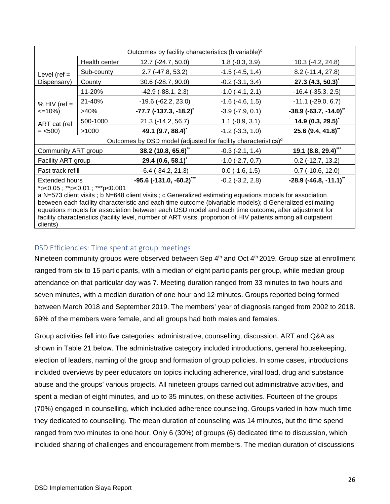| Outcomes by facility characteristics (bivariable) <sup>c</sup>             |                               |                                      |                           |                                      |  |  |
|----------------------------------------------------------------------------|-------------------------------|--------------------------------------|---------------------------|--------------------------------------|--|--|
| Level ( $ref =$                                                            | Health center                 | 12.7 (-24.7, 50.0)                   | $1.8$ ( $-0.3$ , $3.9$ )  | 10.3 (-4.2, 24.8)                    |  |  |
|                                                                            | Sub-county                    | $2.7$ (-47.8, 53.2)                  | $-1.5$ ( $-4.5$ , $1.4$ ) | $8.2$ (-11.4, 27.8)                  |  |  |
| Dispensary)                                                                | County                        | 30.6 (-28.7, 90.0)                   | $-0.2$ $(-3.1, 3.4)$      | 27.3 (4.3, 50.3)                     |  |  |
|                                                                            | 11-20%                        | $-42.9$ $(-88.1, 2.3)$               | $-1.0$ $(-4.1, 2.1)$      | $-16.4$ ( $-35.3$ , 2.5)             |  |  |
| % HIV (ref $=$<br>$\leq$ 10%)                                              | 21-40%                        | $-19.6$ $(-62.2, 23.0)$              | $-1.6$ $(-4.6, 1.5)$      | $-11.1$ $(-29.0, 6.7)$               |  |  |
|                                                                            | >40%                          | $-77.7$ (-137.3, -18.2) <sup>*</sup> | $-3.9$ $(-7.9, 0.1)$      | $-38.9$ (-63.7, -14.0) <sup>**</sup> |  |  |
| ART cat (ref<br>$=$ <500)                                                  | 500-1000                      | 21.3 (-14.2, 56.7)                   | $1.1$ ( $-0.9$ , $3.1$ )  | 14.9 $(0.3, 29.5)^{*}$               |  |  |
|                                                                            | >1000                         | 49.1 (9.7, 88.4)*                    | $-1.2$ $(-3.3, 1.0)$      | 25.6 (9.4, 41.8)*                    |  |  |
| Outcomes by DSD model (adjusted for facility characteristics) <sup>d</sup> |                               |                                      |                           |                                      |  |  |
| Community ART group                                                        |                               | 38.2 (10.8, 65.6)**                  | $-0.3$ $(-2.1, 1.4)$      | $19.1(8.8, 29.4)$ ***                |  |  |
| Facility ART group                                                         |                               | 29.4 $(0.6, 58.1)^{\dagger}$         | $-1.0$ $(-2.7, 0.7)$      | $0.2$ (-12.7, 13.2)                  |  |  |
| Fast track refill                                                          |                               | $-6.4$ $(-34.2, 21.3)$               | $0.0$ ( $-1.6$ , $1.5$ )  | $0.7$ (-10.6, 12.0)                  |  |  |
| <b>Extended hours</b>                                                      |                               | $-95.6$ (-131.0, -60.2)***           | $-0.2$ $(-3.2, 2.8)$      | $-28.9$ (-46.8, -11.1) <sup>**</sup> |  |  |
|                                                                            | *p<0.05; **p<0.01; ***p<0.001 |                                      |                           |                                      |  |  |

a N=573 client visits ; b N=648 client visits ; c Generalized estimating equations models for association between each facility characteristic and each time outcome (bivariable models); d Generalized estimating equations models for association between each DSD model and each time outcome, after adjustment for facility characteristics (facility level, number of ART visits, proportion of HIV patients among all outpatient clients)

# <span id="page-34-0"></span>DSD Efficiencies: Time spent at group meetings

Nineteen community groups were observed between Sep 4<sup>th</sup> and Oct 4<sup>th</sup> 2019. Group size at enrollment ranged from six to 15 participants, with a median of eight participants per group, while median group attendance on that particular day was 7. Meeting duration ranged from 33 minutes to two hours and seven minutes, with a median duration of one hour and 12 minutes. Groups reported being formed between March 2018 and September 2019. The members' year of diagnosis ranged from 2002 to 2018. 69% of the members were female, and all groups had both males and females.

Group activities fell into five categories: administrative, counselling, discussion, ART and Q&A as shown in Table 21 below. The administrative category included introductions, general housekeeping, election of leaders, naming of the group and formation of group policies. In some cases, introductions included overviews by peer educators on topics including adherence, viral load, drug and substance abuse and the groups' various projects. All nineteen groups carried out administrative activities, and spent a median of eight minutes, and up to 35 minutes, on these activities. Fourteen of the groups (70%) engaged in counselling, which included adherence counseling. Groups varied in how much time they dedicated to counselling. The mean duration of counseling was 14 minutes, but the time spend ranged from two minutes to one hour. Only 6 (30%) of groups (6) dedicated time to discussion, which included sharing of challenges and encouragement from members. The median duration of discussions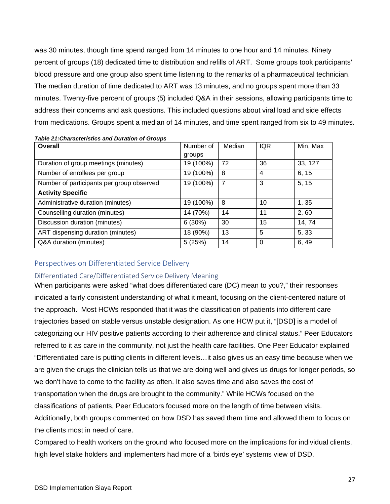was 30 minutes, though time spend ranged from 14 minutes to one hour and 14 minutes. Ninety percent of groups (18) dedicated time to distribution and refills of ART. Some groups took participants' blood pressure and one group also spent time listening to the remarks of a pharmaceutical technician. The median duration of time dedicated to ART was 13 minutes, and no groups spent more than 33 minutes. Twenty-five percent of groups (5) included Q&A in their sessions, allowing participants time to address their concerns and ask questions. This included questions about viral load and side effects from medications. Groups spent a median of 14 minutes, and time spent ranged from six to 49 minutes.

| Overall                                   | Number of | Median         | IQR      | Min, Max |
|-------------------------------------------|-----------|----------------|----------|----------|
|                                           | groups    |                |          |          |
| Duration of group meetings (minutes)      | 19 (100%) | 72             | 36       | 33, 127  |
| Number of enrollees per group             | 19 (100%) | 8              | 4        | 6, 15    |
| Number of participants per group observed | 19 (100%) | $\overline{7}$ | 3        | 5, 15    |
| <b>Activity Specific</b>                  |           |                |          |          |
| Administrative duration (minutes)         | 19 (100%) | 8              | 10       | 1, 35    |
| Counselling duration (minutes)            | 14 (70%)  | 14             | 11       | 2,60     |
| Discussion duration (minutes)             | 6(30%)    | 30             | 15       | 14, 74   |
| ART dispensing duration (minutes)         | 18 (90%)  | 13             | 5        | 5, 33    |
| Q&A duration (minutes)                    | 5(25%)    | 14             | $\Omega$ | 6, 49    |

#### <span id="page-35-2"></span>*Table 21:Characteristics and Duration of Groups*

#### <span id="page-35-0"></span>Perspectives on Differentiated Service Delivery

#### <span id="page-35-1"></span>Differentiated Care/Differentiated Service Delivery Meaning

When participants were asked "what does differentiated care (DC) mean to you?," their responses indicated a fairly consistent understanding of what it meant, focusing on the client-centered nature of the approach. Most HCWs responded that it was the classification of patients into different care trajectories based on stable versus unstable designation. As one HCW put it, "[DSD] is a model of categorizing our HIV positive patients according to their adherence and clinical status." Peer Educators referred to it as care in the community, not just the health care facilities. One Peer Educator explained "Differentiated care is putting clients in different levels…it also gives us an easy time because when we are given the drugs the clinician tells us that we are doing well and gives us drugs for longer periods, so we don't have to come to the facility as often. It also saves time and also saves the cost of transportation when the drugs are brought to the community." While HCWs focused on the classifications of patients, Peer Educators focused more on the length of time between visits. Additionally, both groups commented on how DSD has saved them time and allowed them to focus on the clients most in need of care.

Compared to health workers on the ground who focused more on the implications for individual clients, high level stake holders and implementers had more of a 'birds eye' systems view of DSD.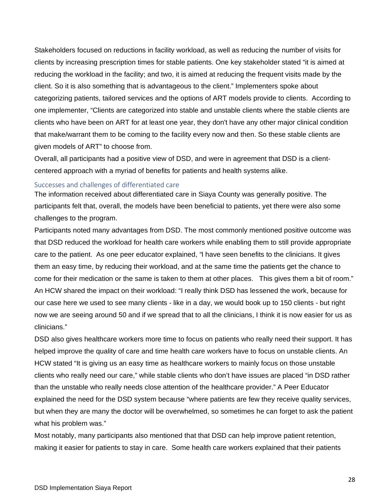Stakeholders focused on reductions in facility workload, as well as reducing the number of visits for clients by increasing prescription times for stable patients. One key stakeholder stated "it is aimed at reducing the workload in the facility; and two, it is aimed at reducing the frequent visits made by the client. So it is also something that is advantageous to the client." Implementers spoke about categorizing patients, tailored services and the options of ART models provide to clients. According to one implementer, "Clients are categorized into stable and unstable clients where the stable clients are clients who have been on ART for at least one year, they don't have any other major clinical condition that make/warrant them to be coming to the facility every now and then. So these stable clients are given models of ART" to choose from.

Overall, all participants had a positive view of DSD, and were in agreement that DSD is a clientcentered approach with a myriad of benefits for patients and health systems alike.

#### <span id="page-36-0"></span>Successes and challenges of differentiated care

The information received about differentiated care in Siaya County was generally positive. The participants felt that, overall, the models have been beneficial to patients, yet there were also some challenges to the program.

Participants noted many advantages from DSD. The most commonly mentioned positive outcome was that DSD reduced the workload for health care workers while enabling them to still provide appropriate care to the patient. As one peer educator explained, *"*I have seen benefits to the clinicians. It gives them an easy time, by reducing their workload, and at the same time the patients get the chance to come for their medication or the same is taken to them at other places. This gives them a bit of room." An HCW shared the impact on their workload: "I really think DSD has lessened the work, because for our case here we used to see many clients - like in a day, we would book up to 150 clients - but right now we are seeing around 50 and if we spread that to all the clinicians, I think it is now easier for us as clinicians."

DSD also gives healthcare workers more time to focus on patients who really need their support. It has helped improve the quality of care and time health care workers have to focus on unstable clients. An HCW stated "It is giving us an easy time as healthcare workers to mainly focus on those unstable clients who really need our care," while stable clients who don't have issues are placed "in DSD rather than the unstable who really needs close attention of the healthcare provider." A Peer Educator explained the need for the DSD system because "where patients are few they receive quality services, but when they are many the doctor will be overwhelmed, so sometimes he can forget to ask the patient what his problem was."

Most notably, many participants also mentioned that that DSD can help improve patient retention, making it easier for patients to stay in care. Some health care workers explained that their patients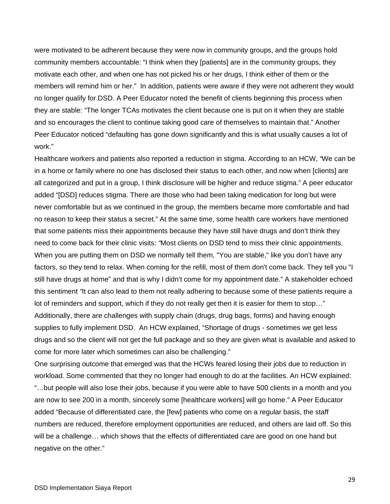were motivated to be adherent because they were now in community groups, and the groups hold community members accountable: "I think when they [patients] are in the community groups, they motivate each other, and when one has not picked his or her drugs, I think either of them or the members will remind him or her." In addition, patients were aware if they were not adherent they would no longer qualify for DSD. A Peer Educator noted the benefit of clients beginning this process when they are stable: "The longer TCAs motivates the client because one is put on it when they are stable and so encourages the client to continue taking good care of themselves to maintain that." Another Peer Educator noticed "defaulting has gone down significantly and this is what usually causes a lot of work."

Healthcare workers and patients also reported a reduction in stigma. According to an HCW, *"*We can be in a home or family where no one has disclosed their status to each other, and now when [clients] are all categorized and put in a group, I think disclosure will be higher and reduce stigma." A peer educator added "[DSD] reduces stigma. There are those who had been taking medication for long but were never comfortable but as we continued in the group, the members became more comfortable and had no reason to keep their status a secret." At the same time, some health care workers have mentioned that some patients miss their appointments because they have still have drugs and don't think they need to come back for their clinic visits: *"*Most clients on DSD tend to miss their clinic appointments. When you are putting them on DSD we normally tell them, "You are stable," like you don't have any factors, so they tend to relax. When coming for the refill, most of them don't come back. They tell you "I still have drugs at home" and that is why I didn't come for my appointment date." A stakeholder echoed this sentiment *"*It can also lead to them not really adhering to because some of these patients require a lot of reminders and support, which if they do not really get then it is easier for them to stop…" Additionally, there are challenges with supply chain (drugs, drug bags, forms) and having enough supplies to fully implement DSD. An HCW explained, "Shortage of drugs - sometimes we get less drugs and so the client will not get the full package and so they are given what is available and asked to come for more later which sometimes can also be challenging."

One surprising outcome that emerged was that the HCWs feared losing their jobs due to reduction in workload. Some commented that they no longer had enough to do at the facilities. An HCW explained: "…but people will also lose their jobs, because if you were able to have 500 clients in a month and you are now to see 200 in a month, sincerely some [healthcare workers] will go home." A Peer Educator added "Because of differentiated care, the [few] patients who come on a regular basis, the staff numbers are reduced, therefore employment opportunities are reduced, and others are laid off. So this will be a challenge… which shows that the effects of differentiated care are good on one hand but negative on the other."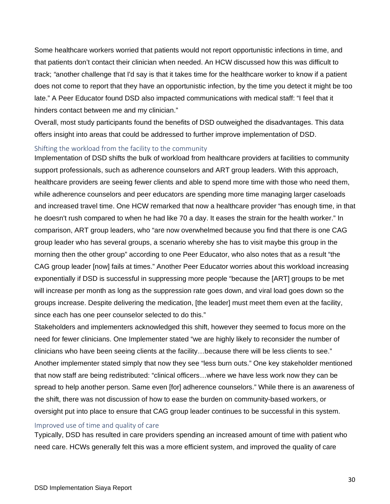Some healthcare workers worried that patients would not report opportunistic infections in time, and that patients don't contact their clinician when needed. An HCW discussed how this was difficult to track; *"*another challenge that I'd say is that it takes time for the healthcare worker to know if a patient does not come to report that they have an opportunistic infection, by the time you detect it might be too late." A Peer Educator found DSD also impacted communications with medical staff: "I feel that it hinders contact between me and my clinician."

Overall, most study participants found the benefits of DSD outweighed the disadvantages. This data offers insight into areas that could be addressed to further improve implementation of DSD.

#### <span id="page-38-0"></span>Shifting the workload from the facility to the community

Implementation of DSD shifts the bulk of workload from healthcare providers at facilities to community support professionals, such as adherence counselors and ART group leaders. With this approach, healthcare providers are seeing fewer clients and able to spend more time with those who need them, while adherence counselors and peer educators are spending more time managing larger caseloads and increased travel time. One HCW remarked that now a healthcare provider "has enough time, in that he doesn't rush compared to when he had like 70 a day. It eases the strain for the health worker." In comparison, ART group leaders, who "are now overwhelmed because you find that there is one CAG group leader who has several groups, a scenario whereby she has to visit maybe this group in the morning then the other group" according to one Peer Educator, who also notes that as a result "the CAG group leader [now] fails at times." Another Peer Educator worries about this workload increasing exponentially if DSD is successful in suppressing more people "because the [ART] groups to be met will increase per month as long as the suppression rate goes down, and viral load goes down so the groups increase. Despite delivering the medication, [the leader] must meet them even at the facility, since each has one peer counselor selected to do this."

Stakeholders and implementers acknowledged this shift, however they seemed to focus more on the need for fewer clinicians. One Implementer stated "we are highly likely to reconsider the number of clinicians who have been seeing clients at the facility…because there will be less clients to see." Another implementer stated simply that now they see "less burn outs." One key stakeholder mentioned that now staff are being redistributed: "clinical officers…where we have less work now they can be spread to help another person. Same even [for] adherence counselors." While there is an awareness of the shift, there was not discussion of how to ease the burden on community-based workers, or oversight put into place to ensure that CAG group leader continues to be successful in this system.

#### <span id="page-38-1"></span>Improved use of time and quality of care

Typically, DSD has resulted in care providers spending an increased amount of time with patient who need care. HCWs generally felt this was a more efficient system, and improved the quality of care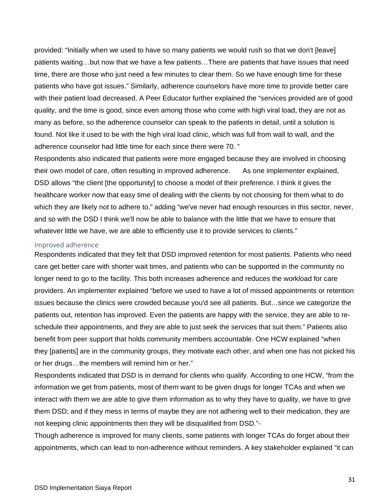provided: "Initially when we used to have so many patients we would rush so that we don't [leave] patients waiting…but now that we have a few patients…There are patients that have issues that need time, there are those who just need a few minutes to clear them. So we have enough time for these patients who have got issues." Similarly, adherence counselors have more time to provide better care with their patient load decreased. A Peer Educator further explained the "services provided are of good quality, and the time is good, since even among those who come with high viral load, they are not as many as before, so the adherence counselor can speak to the patients in detail, until a solution is found. Not like it used to be with the high viral load clinic, which was full from wall to wall, and the adherence counselor had little time for each since there were 70. "

Respondents also indicated that patients were more engaged because they are involved in choosing their own model of care, often resulting in improved adherence. As one implementer explained, DSD allows "the client [the opportunity] to choose a model of their preference. I think it gives the healthcare worker now that easy time of dealing with the clients by not choosing for them what to do which they are likely not to adhere to," adding "we've never had enough resources in this sector, never, and so with the DSD I think we'll now be able to balance with the little that we have to ensure that whatever little we have, we are able to efficiently use it to provide services to clients."

#### <span id="page-39-0"></span>Improved adherence

Respondents indicated that they felt that DSD improved retention for most patients. Patients who need care get better care with shorter wait times, and patients who can be supported in the community no longer need to go to the facility. This both increases adherence and reduces the workload for care providers. An implementer explained "before we used to have a lot of missed appointments or retention issues because the clinics were crowded because you'd see all patients. But…since we categorize the patients out, retention has improved. Even the patients are happy with the service, they are able to reschedule their appointments, and they are able to just seek the services that suit them." Patients also benefit from peer support that holds community members accountable. One HCW explained "when they [patients] are in the community groups, they motivate each other, and when one has not picked his or her drugs…the members will remind him or her."

Respondents indicated that DSD is in demand for clients who qualify. According to one HCW, "from the information we get from patients, most of them want to be given drugs for longer TCAs and when we interact with them we are able to give them information as to why they have to quality, we have to give them DSD; and if they mess in terms of maybe they are not adhering well to their medication, they are not keeping clinic appointments then they will be disqualified from DSD."-

Though adherence is improved for many clients, some patients with longer TCAs do forget about their appointments, which can lead to non-adherence without reminders. A key stakeholder explained "it can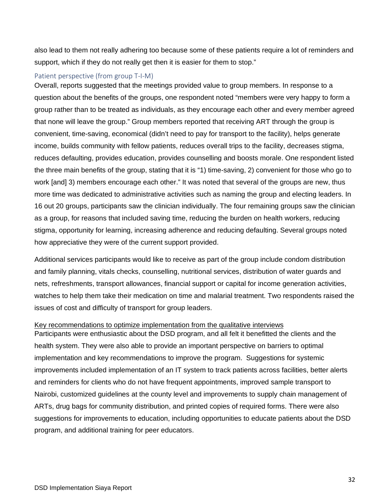also lead to them not really adhering too because some of these patients require a lot of reminders and support, which if they do not really get then it is easier for them to stop."

#### <span id="page-40-0"></span>Patient perspective (from group T-I-M)

Overall, reports suggested that the meetings provided value to group members. In response to a question about the benefits of the groups, one respondent noted "members were very happy to form a group rather than to be treated as individuals, as they encourage each other and every member agreed that none will leave the group." Group members reported that receiving ART through the group is convenient, time-saving, economical (didn't need to pay for transport to the facility), helps generate income, builds community with fellow patients, reduces overall trips to the facility, decreases stigma, reduces defaulting, provides education, provides counselling and boosts morale. One respondent listed the three main benefits of the group, stating that it is "1) time-saving, 2) convenient for those who go to work [and] 3) members encourage each other." It was noted that several of the groups are new, thus more time was dedicated to administrative activities such as naming the group and electing leaders. In 16 out 20 groups, participants saw the clinician individually. The four remaining groups saw the clinician as a group, for reasons that included saving time, reducing the burden on health workers, reducing stigma, opportunity for learning, increasing adherence and reducing defaulting. Several groups noted how appreciative they were of the current support provided.

Additional services participants would like to receive as part of the group include condom distribution and family planning, vitals checks, counselling, nutritional services, distribution of water guards and nets, refreshments, transport allowances, financial support or capital for income generation activities, watches to help them take their medication on time and malarial treatment. Two respondents raised the issues of cost and difficulty of transport for group leaders.

### Key recommendations to optimize implementation from the qualitative interviews

Participants were enthusiastic about the DSD program, and all felt it benefitted the clients and the health system. They were also able to provide an important perspective on barriers to optimal implementation and key recommendations to improve the program. Suggestions for systemic improvements included implementation of an IT system to track patients across facilities, better alerts and reminders for clients who do not have frequent appointments, improved sample transport to Nairobi, customized guidelines at the county level and improvements to supply chain management of ARTs, drug bags for community distribution, and printed copies of required forms. There were also suggestions for improvements to education, including opportunities to educate patients about the DSD program, and additional training for peer educators.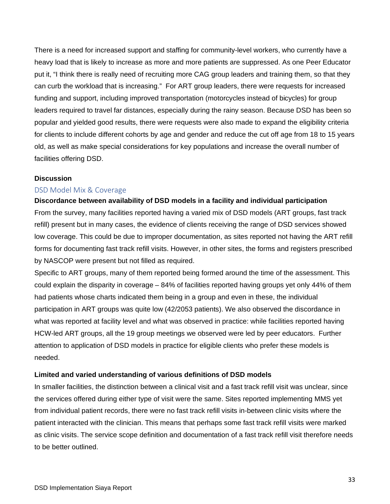There is a need for increased support and staffing for community-level workers, who currently have a heavy load that is likely to increase as more and more patients are suppressed. As one Peer Educator put it, "I think there is really need of recruiting more CAG group leaders and training them, so that they can curb the workload that is increasing." For ART group leaders, there were requests for increased funding and support, including improved transportation (motorcycles instead of bicycles) for group leaders required to travel far distances, especially during the rainy season. Because DSD has been so popular and yielded good results, there were requests were also made to expand the eligibility criteria for clients to include different cohorts by age and gender and reduce the cut off age from 18 to 15 years old, as well as make special considerations for key populations and increase the overall number of facilities offering DSD.

#### <span id="page-41-0"></span>**Discussion**

#### <span id="page-41-1"></span>DSD Model Mix & Coverage

#### **Discordance between availability of DSD models in a facility and individual participation**

From the survey, many facilities reported having a varied mix of DSD models (ART groups, fast track refill) present but in many cases, the evidence of clients receiving the range of DSD services showed low coverage. This could be due to improper documentation, as sites reported not having the ART refill forms for documenting fast track refill visits. However, in other sites, the forms and registers prescribed by NASCOP were present but not filled as required.

Specific to ART groups, many of them reported being formed around the time of the assessment. This could explain the disparity in coverage – 84% of facilities reported having groups yet only 44% of them had patients whose charts indicated them being in a group and even in these, the individual participation in ART groups was quite low (42/2053 patients). We also observed the discordance in what was reported at facility level and what was observed in practice: while facilities reported having HCW-led ART groups, all the 19 group meetings we observed were led by peer educators. Further attention to application of DSD models in practice for eligible clients who prefer these models is needed.

#### **Limited and varied understanding of various definitions of DSD models**

In smaller facilities, the distinction between a clinical visit and a fast track refill visit was unclear, since the services offered during either type of visit were the same. Sites reported implementing MMS yet from individual patient records, there were no fast track refill visits in-between clinic visits where the patient interacted with the clinician. This means that perhaps some fast track refill visits were marked as clinic visits. The service scope definition and documentation of a fast track refill visit therefore needs to be better outlined.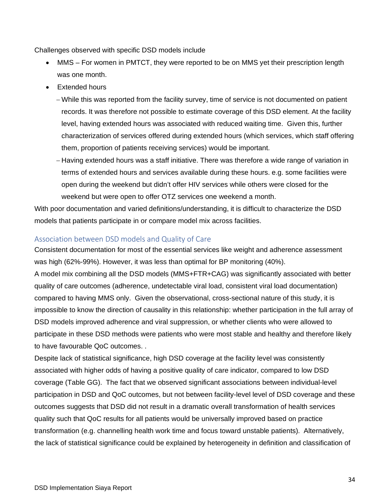Challenges observed with specific DSD models include

- MMS For women in PMTCT, they were reported to be on MMS yet their prescription length was one month.
- Extended hours
	- − While this was reported from the facility survey, time of service is not documented on patient records. It was therefore not possible to estimate coverage of this DSD element. At the facility level, having extended hours was associated with reduced waiting time. Given this, further characterization of services offered during extended hours (which services, which staff offering them, proportion of patients receiving services) would be important.
	- − Having extended hours was a staff initiative. There was therefore a wide range of variation in terms of extended hours and services available during these hours. e.g. some facilities were open during the weekend but didn't offer HIV services while others were closed for the weekend but were open to offer OTZ services one weekend a month.

With poor documentation and varied definitions/understanding, it is difficult to characterize the DSD models that patients participate in or compare model mix across facilities.

# <span id="page-42-0"></span>Association between DSD models and Quality of Care

Consistent documentation for most of the essential services like weight and adherence assessment was high (62%-99%). However, it was less than optimal for BP monitoring (40%).

A model mix combining all the DSD models (MMS+FTR+CAG) was significantly associated with better quality of care outcomes (adherence, undetectable viral load, consistent viral load documentation) compared to having MMS only. Given the observational, cross-sectional nature of this study, it is impossible to know the direction of causality in this relationship: whether participation in the full array of DSD models improved adherence and viral suppression, or whether clients who were allowed to participate in these DSD methods were patients who were most stable and healthy and therefore likely to have favourable QoC outcomes. .

Despite lack of statistical significance, high DSD coverage at the facility level was consistently associated with higher odds of having a positive quality of care indicator, compared to low DSD coverage (Table GG). The fact that we observed significant associations between individual-level participation in DSD and QoC outcomes, but not between facility-level level of DSD coverage and these outcomes suggests that DSD did not result in a dramatic overall transformation of health services quality such that QoC results for all patients would be universally improved based on practice transformation (e.g. channelling health work time and focus toward unstable patients). Alternatively, the lack of statistical significance could be explained by heterogeneity in definition and classification of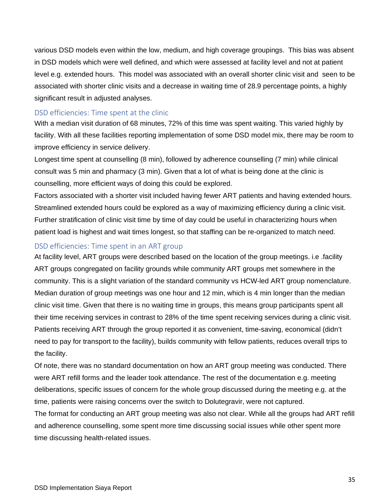various DSD models even within the low, medium, and high coverage groupings. This bias was absent in DSD models which were well defined, and which were assessed at facility level and not at patient level e.g. extended hours. This model was associated with an overall shorter clinic visit and seen to be associated with shorter clinic visits and a decrease in waiting time of 28.9 percentage points, a highly significant result in adjusted analyses.

### <span id="page-43-0"></span>DSD efficiencies: Time spent at the clinic

With a median visit duration of 68 minutes, 72% of this time was spent waiting. This varied highly by facility. With all these facilities reporting implementation of some DSD model mix, there may be room to improve efficiency in service delivery.

Longest time spent at counselling (8 min), followed by adherence counselling (7 min) while clinical consult was 5 min and pharmacy (3 min). Given that a lot of what is being done at the clinic is counselling, more efficient ways of doing this could be explored.

Factors associated with a shorter visit included having fewer ART patients and having extended hours. Streamlined extended hours could be explored as a way of maximizing efficiency during a clinic visit. Further stratification of clinic visit time by time of day could be useful in characterizing hours when patient load is highest and wait times longest, so that staffing can be re-organized to match need.

# <span id="page-43-1"></span>DSD efficiencies: Time spent in an ART group

At facility level, ART groups were described based on the location of the group meetings. i.e .facility ART groups congregated on facility grounds while community ART groups met somewhere in the community. This is a slight variation of the standard community vs HCW-led ART group nomenclature. Median duration of group meetings was one hour and 12 min, which is 4 min longer than the median clinic visit time. Given that there is no waiting time in groups, this means group participants spent all their time receiving services in contrast to 28% of the time spent receiving services during a clinic visit. Patients receiving ART through the group reported it as convenient, time-saving, economical (didn't need to pay for transport to the facility), builds community with fellow patients, reduces overall trips to the facility.

Of note, there was no standard documentation on how an ART group meeting was conducted. There were ART refill forms and the leader took attendance. The rest of the documentation e.g. meeting deliberations, specific issues of concern for the whole group discussed during the meeting e.g. at the time, patients were raising concerns over the switch to Dolutegravir, were not captured.

The format for conducting an ART group meeting was also not clear. While all the groups had ART refill and adherence counselling, some spent more time discussing social issues while other spent more time discussing health-related issues.